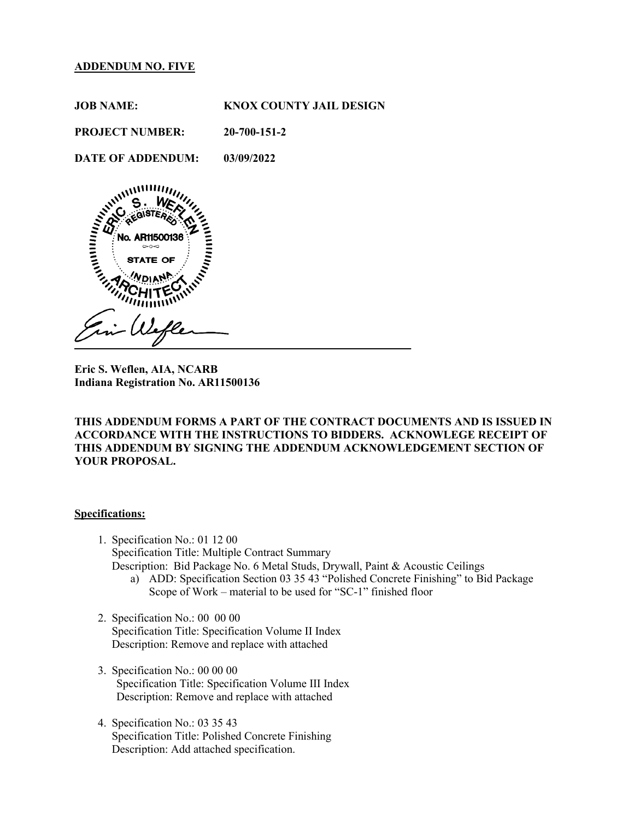#### **ADDENDUM NO. FIVE**

**JOB NAME: KNOX COUNTY JAIL DESIGN PROJECT NUMBER: 20-700-151-2 DATE OF ADDENDUM: 03/09/2022** 



**Eric S. Weflen, AIA, NCARB Indiana Registration No. AR11500136** 

**THIS ADDENDUM FORMS A PART OF THE CONTRACT DOCUMENTS AND IS ISSUED IN ACCORDANCE WITH THE INSTRUCTIONS TO BIDDERS. ACKNOWLEGE RECEIPT OF THIS ADDENDUM BY SIGNING THE ADDENDUM ACKNOWLEDGEMENT SECTION OF YOUR PROPOSAL.** 

#### **Specifications:**

- 1. Specification No.: 01 12 00 Specification Title: Multiple Contract Summary Description: Bid Package No. 6 Metal Studs, Drywall, Paint & Acoustic Ceilings
	- a) ADD: Specification Section 03 35 43 "Polished Concrete Finishing" to Bid Package Scope of Work – material to be used for "SC-1" finished floor
- 2. Specification No.: 00 00 00 Specification Title: Specification Volume II Index Description: Remove and replace with attached
- 3. Specification No.: 00 00 00 Specification Title: Specification Volume III Index Description: Remove and replace with attached
- 4. Specification No.: 03 35 43 Specification Title: Polished Concrete Finishing Description: Add attached specification.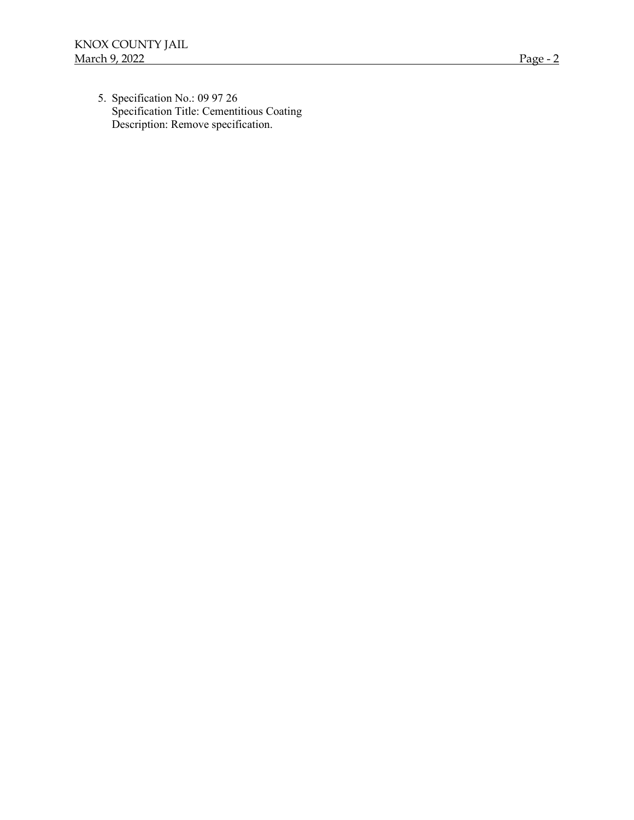5. Specification No.: 09 97 26 Specification Title: Cementitious Coating Description: Remove specification.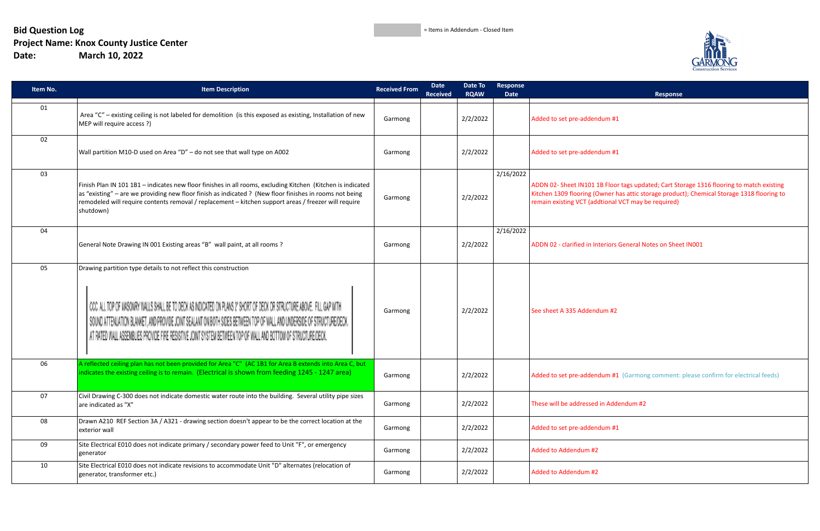# **Bid Question Log**  $\overline{ }$  = Items in Addendum - Closed Item **Project Name: Knox County Justice Center Date: March 10, 2022**

| <b>Response</b>                                                                                                                                                                                                                               |
|-----------------------------------------------------------------------------------------------------------------------------------------------------------------------------------------------------------------------------------------------|
| Added to set pre-addendum #1                                                                                                                                                                                                                  |
| Added to set pre-addendum #1                                                                                                                                                                                                                  |
| ADDN 02- Sheet IN101 1B Floor tags updated; Cart Storage 1316 flooring to match existing<br>Kitchen 1309 flooring (Owner has attic storage product); Chemical Storage 1318 flooring to<br>remain existing VCT (addtional VCT may be required) |
| ADDN 02 - clarified in Interiors General Notes on Sheet IN001                                                                                                                                                                                 |
| See sheet A 335 Addendum #2                                                                                                                                                                                                                   |
| Added to set pre-addendum #1 (Garmong comment: please confirm for electrical feeds)                                                                                                                                                           |
| These will be addressed in Addendum #2                                                                                                                                                                                                        |
| Added to set pre-addendum #1                                                                                                                                                                                                                  |
| <b>Added to Addendum #2</b>                                                                                                                                                                                                                   |
| <b>Added to Addendum #2</b>                                                                                                                                                                                                                   |

| Item No. | <b>Item Description</b>                                                                                                                                                                                                                                                                                                                                                                                                                 | <b>Received From</b> | <b>Date</b><br><b>Received</b> | Date To<br><b>RQAW</b> | Response<br><b>Date</b> | <b>Response</b>                                                                                                                                                                                                                           |
|----------|-----------------------------------------------------------------------------------------------------------------------------------------------------------------------------------------------------------------------------------------------------------------------------------------------------------------------------------------------------------------------------------------------------------------------------------------|----------------------|--------------------------------|------------------------|-------------------------|-------------------------------------------------------------------------------------------------------------------------------------------------------------------------------------------------------------------------------------------|
| 01       | Area " $C$ " – existing ceiling is not labeled for demolition (is this exposed as existing, Installation of new<br>MEP will require access ?)                                                                                                                                                                                                                                                                                           | Garmong              |                                | 2/2/2022               |                         | Added to set pre-addendum #1                                                                                                                                                                                                              |
| 02       | Wall partition M10-D used on Area "D" - do not see that wall type on A002                                                                                                                                                                                                                                                                                                                                                               | Garmong              |                                | 2/2/2022               |                         | Added to set pre-addendum #1                                                                                                                                                                                                              |
| 03       | Finish Plan IN 101 1B1 - indicates new floor finishes in all rooms, excluding Kitchen (Kitchen is indicated<br>as "existing" - are we providing new floor finish as indicated ? (New floor finishes in rooms not being<br>remodeled will require contents removal / replacement - kitchen support areas / freezer will require<br>shutdown)                                                                                             | Garmong              |                                | 2/2/2022               | 2/16/2022               | ADDN 02- Sheet IN101 1B Floor tags updated; Cart Storage 1316 flooring to match existir<br>Kitchen 1309 flooring (Owner has attic storage product); Chemical Storage 1318 flooring<br>remain existing VCT (addtional VCT may be required) |
| 04       | General Note Drawing IN 001 Existing areas "B" wall paint, at all rooms ?                                                                                                                                                                                                                                                                                                                                                               | Garmong              |                                | 2/2/2022               | 2/16/2022               | ADDN 02 - clarified in Interiors General Notes on Sheet IN001                                                                                                                                                                             |
| 05       | Drawing partition type details to not reflect this construction<br>CCC. ALL TOP OF MASONRY WALLS SHALL BE TO DECK AS INDICATED ON PLANS 2" SHORT OF DECK OR STRUCTURE ABOVE. FILL GAP WITH<br>SOUND ATTENUATION BLANKET, AND PROVIDE JOINT SEALANT ON BOTH SIDES BETWEEN TOP OF WALL AND UNDERSIDE OF STRUCTURE/DECK.<br>AT RATED WALL ASSEMBLIES PROVIDE FIRE RESISTIVE JOINT SYSTEM BETWEEN TOP OF WALL AND BOTTOM OF STRUCTURE/DECK. | Garmong              |                                | 2/2/2022               |                         | See sheet A 335 Addendum #2                                                                                                                                                                                                               |
| 06       | A reflected ceiling plan has not been provided for Area "C" (AC 1B1 for Area B extends into Area C, but<br>indicates the existing ceiling is to remain. (Electrical is shown from feeding 1245 - 1247 area)                                                                                                                                                                                                                             | Garmong              |                                | 2/2/2022               |                         | Added to set pre-addendum #1 (Garmong comment: please confirm for electrical feeds)                                                                                                                                                       |
| 07       | Civil Drawing C-300 does not indicate domestic water route into the building. Several utility pipe sizes<br>are indicated as "X"                                                                                                                                                                                                                                                                                                        | Garmong              |                                | 2/2/2022               |                         | These will be addressed in Addendum #2                                                                                                                                                                                                    |
| 08       | Drawn A210 REF Section 3A / A321 - drawing section doesn't appear to be the correct location at the<br>exterior wall                                                                                                                                                                                                                                                                                                                    | Garmong              |                                | 2/2/2022               |                         | Added to set pre-addendum #1                                                                                                                                                                                                              |
| 09       | Site Electrical E010 does not indicate primary / secondary power feed to Unit "F", or emergency<br>generator                                                                                                                                                                                                                                                                                                                            | Garmong              |                                | 2/2/2022               |                         | Added to Addendum #2                                                                                                                                                                                                                      |
| 10       | Site Electrical E010 does not indicate revisions to accommodate Unit "D" alternates (relocation of<br>generator, transformer etc.)                                                                                                                                                                                                                                                                                                      | Garmong              |                                | 2/2/2022               |                         | Added to Addendum #2                                                                                                                                                                                                                      |

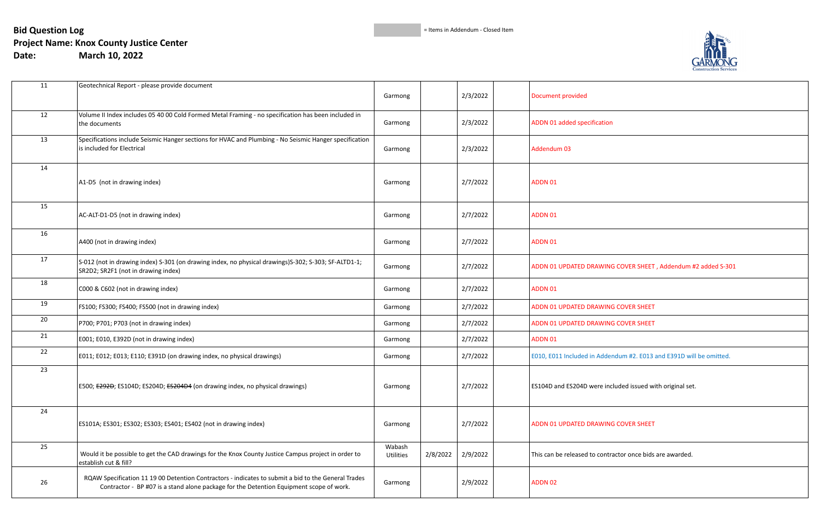# **Bid Question Log**  $\overline{ }$  = Items in Addendum - Closed Item **Project Name: Knox County Justice Center Date: March 10, 2022**

| 11 | Geotechnical Report - please provide document                                                                                                                                                  | Garmong             |          | 2/3/2022 | Document provided                                                   |
|----|------------------------------------------------------------------------------------------------------------------------------------------------------------------------------------------------|---------------------|----------|----------|---------------------------------------------------------------------|
| 12 | Volume II Index includes 05 40 00 Cold Formed Metal Framing - no specification has been included in<br>the documents                                                                           | Garmong             |          | 2/3/2022 | ADDN 01 added specification                                         |
| 13 | Specifications include Seismic Hanger sections for HVAC and Plumbing - No Seismic Hanger specification<br>is included for Electrical                                                           | Garmong             |          | 2/3/2022 | Addendum 03                                                         |
| 14 | A1-D5 (not in drawing index)                                                                                                                                                                   | Garmong             |          | 2/7/2022 | ADDN 01                                                             |
| 15 | AC-ALT-D1-D5 (not in drawing index)                                                                                                                                                            | Garmong             |          | 2/7/2022 | ADDN 01                                                             |
| 16 | A400 (not in drawing index)                                                                                                                                                                    | Garmong             |          | 2/7/2022 | ADDN 01                                                             |
| 17 | S-012 (not in drawing index) S-301 (on drawing index, no physical drawings) S-302; S-303; SF-ALTD1-1;<br>SR2D2; SR2F1 (not in drawing index)                                                   | Garmong             |          | 2/7/2022 | ADDN 01 UPDATED DRAWING COVER SHEET, Addendum #2 added S-301        |
| 18 | C000 & C602 (not in drawing index)                                                                                                                                                             | Garmong             |          | 2/7/2022 | <b>ADDN 01</b>                                                      |
| 19 | FS100; FS300; FS400; FS500 (not in drawing index)                                                                                                                                              | Garmong             |          | 2/7/2022 | ADDN 01 UPDATED DRAWING COVER SHEET                                 |
| 20 | P700; P701; P703 (not in drawing index)                                                                                                                                                        | Garmong             |          | 2/7/2022 | ADDN 01 UPDATED DRAWING COVER SHEET                                 |
| 21 | E001; E010, E392D (not in drawing index)                                                                                                                                                       | Garmong             |          | 2/7/2022 | <b>ADDN 01</b>                                                      |
| 22 | E011; E012; E013; E110; E391D (on drawing index, no physical drawings)                                                                                                                         | Garmong             |          | 2/7/2022 | E010, E011 Included in Addendum #2. E013 and E391D will be omitted. |
| 23 | E500; E292D; ES104D; ES204D; ES204D4 (on drawing index, no physical drawings)                                                                                                                  | Garmong             |          | 2/7/2022 | ES104D and ES204D were included issued with original set.           |
| 24 | ES101A; ES301; ES302; ES303; ES401; ES402 (not in drawing index)                                                                                                                               | Garmong             |          | 2/7/2022 | ADDN 01 UPDATED DRAWING COVER SHEET                                 |
| 25 | Would it be possible to get the CAD drawings for the Knox County Justice Campus project in order to<br>establish cut & fill?                                                                   | Wabash<br>Utilities | 2/8/2022 | 2/9/2022 | This can be released to contractor once bids are awarded.           |
| 26 | RQAW Specification 11 19 00 Detention Contractors - indicates to submit a bid to the General Trades<br>Contractor - BP #07 is a stand alone package for the Detention Equipment scope of work. | Garmong             |          | 2/9/2022 | <b>ADDN 02</b>                                                      |



| tion                                        |
|---------------------------------------------|
|                                             |
|                                             |
|                                             |
|                                             |
|                                             |
| /ING COVER SHEET, Addendum #2 added S-301   |
|                                             |
| <b>ING COVER SHEET</b>                      |
| <b>ING COVER SHEET</b>                      |
|                                             |
| Idendum #2. E013 and E391D will be omitted. |
| included issued with original set.          |
| <b>ING COVER SHEET</b>                      |
| intractor once bids are awarded.            |
|                                             |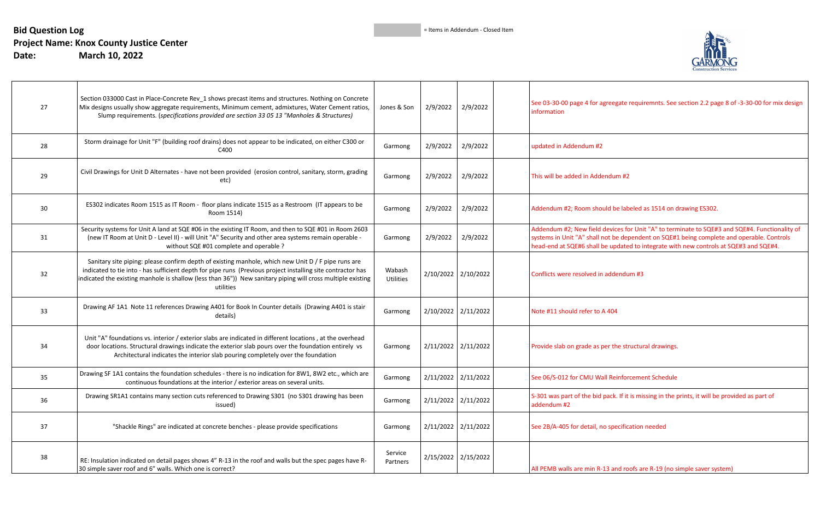# **Bid Question Log** Elems in Addendum - Closed Item **Project Name: Knox County Justice Center Date: March 10, 2022**

| 27 | Section 033000 Cast in Place-Concrete Rev 1 shows precast items and structures. Nothing on Concrete<br>Mix designs usually show aggregate requirements, Minimum cement, admixtures, Water Cement ratios,<br>Slump requirements. (specifications provided are section 33 05 13 "Manholes & Structures)                                        | Jones & Son         | 2/9/2022 | 2/9/2022              | See 03-30-00 page 4 for agreegate requiremnts. See<br>information                                                                                                 |
|----|----------------------------------------------------------------------------------------------------------------------------------------------------------------------------------------------------------------------------------------------------------------------------------------------------------------------------------------------|---------------------|----------|-----------------------|-------------------------------------------------------------------------------------------------------------------------------------------------------------------|
| 28 | Storm drainage for Unit "F" (building roof drains) does not appear to be indicated, on either C300 or<br>C400                                                                                                                                                                                                                                | Garmong             | 2/9/2022 | 2/9/2022              | updated in Addendum #2                                                                                                                                            |
| 29 | Civil Drawings for Unit D Alternates - have not been provided (erosion control, sanitary, storm, grading<br>etc)                                                                                                                                                                                                                             | Garmong             | 2/9/2022 | 2/9/2022              | This will be added in Addendum #2                                                                                                                                 |
| 30 | ES302 indicates Room 1515 as IT Room - floor plans indicate 1515 as a Restroom (IT appears to be<br>Room 1514)                                                                                                                                                                                                                               | Garmong             | 2/9/2022 | 2/9/2022              | Addendum #2; Room should be labeled as 1514 on d                                                                                                                  |
| 31 | Security systems for Unit A land at SQE #06 in the existing IT Room, and then to SQE #01 in Room 2603<br>(new IT Room at Unit D - Level II) - will Unit "A" Security and other area systems remain operable -<br>without SQE #01 complete and operable ?                                                                                     | Garmong             | 2/9/2022 | 2/9/2022              | Addendum #2; New field devices for Unit "A" to tern<br>systems in Unit "A" shall not be dependent on SQE#1<br>head-end at SQE#6 shall be updated to integrate wit |
| 32 | Sanitary site piping: please confirm depth of existing manhole, which new Unit D / F pipe runs are<br>indicated to tie into - has sufficient depth for pipe runs (Previous project installing site contractor has<br>ndicated the existing manhole is shallow (less than 36")) New sanitary piping will cross multiple existing<br>utilities | Wabash<br>Utilities |          | 2/10/2022 2/10/2022   | Conflicts were resolved in addendum #3                                                                                                                            |
| 33 | Drawing AF 1A1 Note 11 references Drawing A401 for Book In Counter details (Drawing A401 is stair<br>details)                                                                                                                                                                                                                                | Garmong             |          | 2/10/2022 2/11/2022   | Note #11 should refer to A 404                                                                                                                                    |
| 34 | Unit "A" foundations vs. interior / exterior slabs are indicated in different locations, at the overhead<br>door locations. Structural drawings indicate the exterior slab pours over the foundation entirely vs<br>Architectural indicates the interior slab pouring completely over the foundation                                         | Garmong             |          | 2/11/2022 2/11/2022   | Provide slab on grade as per the structural drawings.                                                                                                             |
| 35 | Drawing SF 1A1 contains the foundation schedules - there is no indication for 8W1, 8W2 etc., which are<br>continuous foundations at the interior / exterior areas on several units.                                                                                                                                                          | Garmong             |          | 2/11/2022 2/11/2022   | See 06/S-012 for CMU Wall Reinforcement Schedule                                                                                                                  |
| 36 | Drawing SR1A1 contains many section cuts referenced to Drawing S301 (no S301 drawing has been<br>issued)                                                                                                                                                                                                                                     | Garmong             |          | 2/11/2022 2/11/2022   | S-301 was part of the bid pack. If it is missing in the p<br>addendum #2                                                                                          |
| 37 | "Shackle Rings" are indicated at concrete benches - please provide specifications                                                                                                                                                                                                                                                            | Garmong             |          | 2/11/2022 2/11/2022   | See 2B/A-405 for detail, no specification needed                                                                                                                  |
| 38 | RE: Insulation indicated on detail pages shows 4" R-13 in the roof and walls but the spec pages have R-<br>30 simple saver roof and 6" walls. Which one is correct?                                                                                                                                                                          | Service<br>Partners |          | $2/15/2022$ 2/15/2022 | All PEMB walls are min R-13 and roofs are R-19 (no s                                                                                                              |



# agreegate requiremnts. See section 2.2 page 8 of -3-30-00 for mix design

ould be labeled as 1514 on drawing ES302.

I devices for Unit "A" to terminate to SQE#3 and SQE#4. Functionality of not be dependent on SQE#1 being complete and operable. Controls he updated to integrate with new controls at SQE#3 and SQE#4.

I pack. If it is missing in the prints, it will be provided as part of

All PEMB walls are min R-13 and roofs are R-19 (no simple saver system)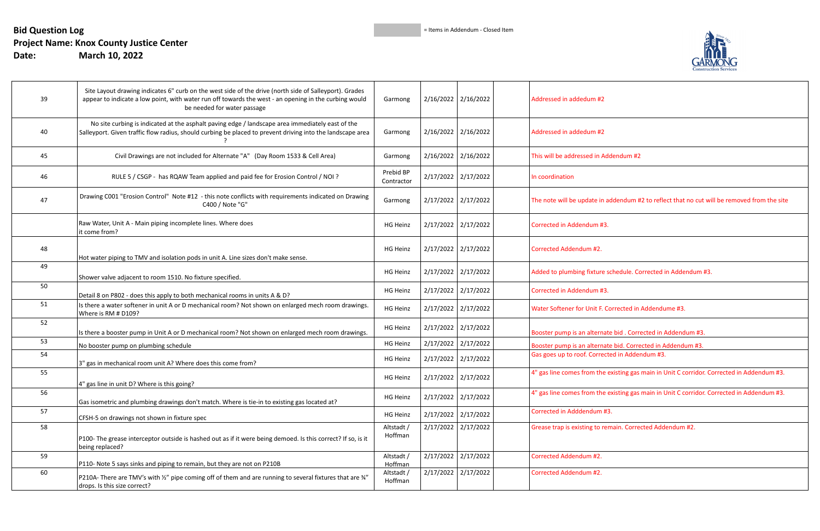# **Bid Question Log Example 2018** and  $\overline{a}$  and  $\overline{b}$  and  $\overline{c}$  and  $\overline{d}$  and  $\overline{b}$  and  $\overline{b}$  and  $\overline{c}$  and  $\overline{d}$  and  $\overline{b}$  and  $\overline{c}$  and  $\overline{c}$  and  $\overline{c}$  and  $\overline{c}$  and  $\overline{c}$  and  $\$ **Project Name: Knox County Justice Center Date: March 10, 2022**

| 39 | Site Layout drawing indicates 6" curb on the west side of the drive (north side of Salleyport). Grades<br>appear to indicate a low point, with water run off towards the west - an opening in the curbing would<br>be needed for water passage | Garmong                 | 2/16/2022 2/16/2022     | Addressed in addedum #2                                                                     |
|----|------------------------------------------------------------------------------------------------------------------------------------------------------------------------------------------------------------------------------------------------|-------------------------|-------------------------|---------------------------------------------------------------------------------------------|
| 40 | No site curbing is indicated at the asphalt paving edge / landscape area immediately east of the<br>Salleyport. Given traffic flow radius, should curbing be placed to prevent driving into the landscape area                                 | Garmong                 | $2/16/2022$   2/16/2022 | Addressed in addedum #2                                                                     |
| 45 | Civil Drawings are not included for Alternate "A" (Day Room 1533 & Cell Area)                                                                                                                                                                  | Garmong                 | $2/16/2022$   2/16/2022 | This will be addressed in Addendum #2                                                       |
| 46 | RULE 5 / CSGP - has RQAW Team applied and paid fee for Erosion Control / NOI ?                                                                                                                                                                 | Prebid BP<br>Contractor | 2/17/2022 2/17/2022     | In coordination                                                                             |
| 47 | Drawing C001 "Erosion Control" Note #12 - this note conflicts with requirements indicated on Drawing<br>C400 / Note "G"                                                                                                                        | Garmong                 | 2/17/2022 2/17/2022     | The note will be update in addendum #2 to reflect that no cut will be removed from the site |
|    | Raw Water, Unit A - Main piping incomplete lines. Where does<br>it come from?                                                                                                                                                                  | HG Heinz                | 2/17/2022 2/17/2022     | Corrected in Addendum #3.                                                                   |
| 48 | Hot water piping to TMV and isolation pods in unit A. Line sizes don't make sense.                                                                                                                                                             | HG Heinz                | 2/17/2022 2/17/2022     | Corrected Addendum #2.                                                                      |
| 49 | Shower valve adjacent to room 1510. No fixture specified.                                                                                                                                                                                      | HG Heinz                | 2/17/2022 2/17/2022     | Added to plumbing fixture schedule. Corrected in Addendum #3.                               |
| 50 | Detail 8 on P802 - does this apply to both mechanical rooms in units A & D?                                                                                                                                                                    | HG Heinz                | 2/17/2022 2/17/2022     | Corrected in Addendum #3.                                                                   |
| 51 | Is there a water softener in unit A or D mechanical room? Not shown on enlarged mech room drawings.<br>Where is RM # D109?                                                                                                                     | HG Heinz                | 2/17/2022 2/17/2022     | Water Softener for Unit F. Corrected in Addendume #3.                                       |
| 52 | Is there a booster pump in Unit A or D mechanical room? Not shown on enlarged mech room drawings.                                                                                                                                              | HG Heinz                | 2/17/2022 2/17/2022     | Booster pump is an alternate bid. Corrected in Addendum #3.                                 |
| 53 | No booster pump on plumbing schedule                                                                                                                                                                                                           | HG Heinz                | 2/17/2022 2/17/2022     | Booster pump is an alternate bid. Corrected in Addendum #3.                                 |
| 54 | 3" gas in mechanical room unit A? Where does this come from?                                                                                                                                                                                   | HG Heinz                | 2/17/2022 2/17/2022     | Gas goes up to roof. Corrected in Addendum #3.                                              |
| 55 | 4" gas line in unit D? Where is this going?                                                                                                                                                                                                    | HG Heinz                | 2/17/2022 2/17/2022     | 4" gas line comes from the existing gas main in Unit C corridor. Corrected in Addendum #3.  |
| 56 | Gas isometric and plumbing drawings don't match. Where is tie-in to existing gas located at?                                                                                                                                                   | HG Heinz                | 2/17/2022 2/17/2022     | 4" gas line comes from the existing gas main in Unit C corridor. Corrected in Addendum #3.  |
| 57 | CFSH-5 on drawings not shown in fixture spec                                                                                                                                                                                                   | HG Heinz                | $2/17/2022$ 2/17/2022   | Corrected in Adddendum #3.                                                                  |
| 58 | P100- The grease interceptor outside is hashed out as if it were being demoed. Is this correct? If so, is it<br>being replaced?                                                                                                                | Altstadt /<br>Hoffman   | 2/17/2022 2/17/2022     | Grease trap is existing to remain. Corrected Addendum #2.                                   |
| 59 | P110- Note 5 says sinks and piping to remain, but they are not on P210B                                                                                                                                                                        | Altstadt /<br>Hoffman   | 2/17/2022 2/17/2022     | Corrected Addendum #2.                                                                      |
| 60 | P210A- There are TMV's with 1/2" pipe coming off of them and are running to several fixtures that are 3/4"<br>drops. Is this size correct?                                                                                                     | Altstadt /<br>Hoffman   | $2/17/2022$ 2/17/2022   | Corrected Addendum #2.                                                                      |



| Addressed in addedum #2                                                                     |
|---------------------------------------------------------------------------------------------|
| Addressed in addedum #2                                                                     |
| This will be addressed in Addendum #2                                                       |
| In coordination                                                                             |
| The note will be update in addendum #2 to reflect that no cut will be removed from the site |
| Corrected in Addendum #3.                                                                   |
| Corrected Addendum #2.                                                                      |
| Added to plumbing fixture schedule. Corrected in Addendum #3.                               |
| Corrected in Addendum #3.                                                                   |
| Water Softener for Unit F. Corrected in Addendume #3.                                       |
| Booster pump is an alternate bid. Corrected in Addendum #3.                                 |
| Booster pump is an alternate bid. Corrected in Addendum #3.                                 |
| Gas goes up to roof. Corrected in Addendum #3.                                              |
| 4" gas line comes from the existing gas main in Unit C corridor. Corrected in Addendum #3.  |
| 4" gas line comes from the existing gas main in Unit C corridor. Corrected in Addendum #3.  |
| Corrected in Adddendum #3.                                                                  |
| Grease trap is existing to remain. Corrected Addendum #2.                                   |
| Corrected Addendum #2.                                                                      |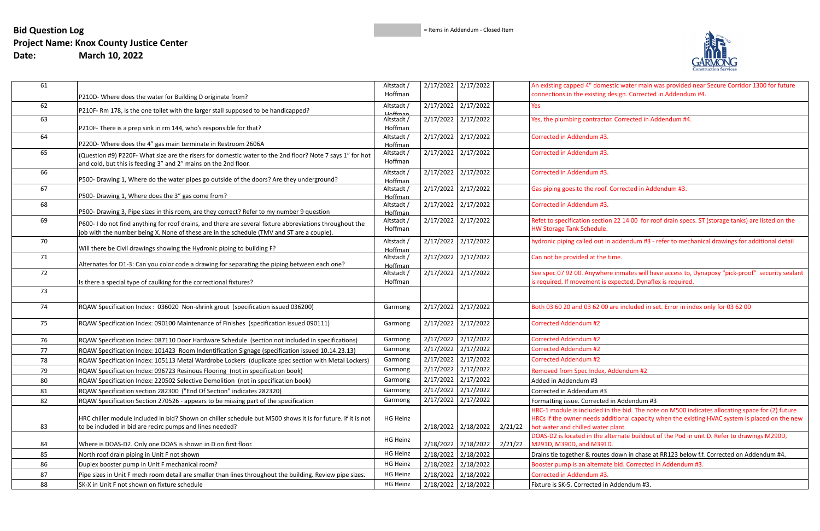# **Bid Question Log** Elems in Addendum - Closed Item **Project Name: Knox County Justice Center Date: March 10, 2022**

| 21112022  | 21112022  |         | <b>ICS</b>                                                                                                                                                                                                                              |
|-----------|-----------|---------|-----------------------------------------------------------------------------------------------------------------------------------------------------------------------------------------------------------------------------------------|
| 2/17/2022 | 2/17/2022 |         | Yes, the plumbing contractor. Corrected in Addendum #4.                                                                                                                                                                                 |
| 2/17/2022 | 2/17/2022 |         | Corrected in Addendum #3.                                                                                                                                                                                                               |
| 2/17/2022 | 2/17/2022 |         | Corrected in Addendum #3.                                                                                                                                                                                                               |
| 2/17/2022 | 2/17/2022 |         | Corrected in Addendum #3.                                                                                                                                                                                                               |
| 2/17/2022 | 2/17/2022 |         | Gas piping goes to the roof. Corrected in Addendum #3.                                                                                                                                                                                  |
| 2/17/2022 | 2/17/2022 |         | Corrected in Addendum #3.                                                                                                                                                                                                               |
| 2/17/2022 | 2/17/2022 |         | Refet to specification section 22 14 00 for roof drain specs. ST (storage tanks) are listed on the<br>HW Storage Tank Schedule.                                                                                                         |
| 2/17/2022 | 2/17/2022 |         | hydronic piping called out in addendum #3 - refer to mechanical drawings for additional detail                                                                                                                                          |
| 2/17/2022 | 2/17/2022 |         | Can not be provided at the time.                                                                                                                                                                                                        |
| 2/17/2022 | 2/17/2022 |         | See spec 07 92 00. Anywhere inmates will have access to, Dynapoxy "pick-proof" security sealant<br>is required. If movement is expected, Dynaflex is required.                                                                          |
|           |           |         |                                                                                                                                                                                                                                         |
| 2/17/2022 | 2/17/2022 |         | Both 03 60 20 and 03 62 00 are included in set. Error in index only for 03 62 00                                                                                                                                                        |
| 2/17/2022 | 2/17/2022 |         | <b>Corrected Addendum #2</b>                                                                                                                                                                                                            |
| 2/17/2022 | 2/17/2022 |         | <b>Corrected Addendum #2</b>                                                                                                                                                                                                            |
| 2/17/2022 | 2/17/2022 |         | <b>Corrected Addendum #2</b>                                                                                                                                                                                                            |
| 2/17/2022 | 2/17/2022 |         | <b>Corrected Addendum #2</b>                                                                                                                                                                                                            |
| 2/17/2022 | 2/17/2022 |         | Removed from Spec Index, Addendum #2                                                                                                                                                                                                    |
| 2/17/2022 | 2/17/2022 |         | Added in Addendum #3                                                                                                                                                                                                                    |
| 2/17/2022 | 2/17/2022 |         | Corrected in Addendum #3                                                                                                                                                                                                                |
| 2/17/2022 | 2/17/2022 |         | Formatting issue. Corrected in Addendum #3                                                                                                                                                                                              |
| 2/18/2022 | 2/18/2022 | 2/21/22 | HRC-1 module is included in the bid. The note on M500 indicates allocating space for (2) future<br>HRCs if the owner needs additional capacity when the existing HVAC system is placed on the new<br>hot water and chilled water plant. |
|           |           |         | DOAS-D2 is located in the alternate buildout of the Pod in unit D. Refer to drawings M290D,                                                                                                                                             |
| 2/18/2022 | 2/18/2022 | 2/21/22 | M291D, M390D, and M391D.                                                                                                                                                                                                                |
| 2/18/2022 | 2/18/2022 |         | Drains tie together & routes down in chase at RR123 below f.f. Corrected on Addendum #4.                                                                                                                                                |
| 2/18/2022 | 2/18/2022 |         | Booster pump is an alternate bid. Corrected in Addendum #3.                                                                                                                                                                             |
| 2/18/2022 | 2/18/2022 |         | Corrected in Addendum #3.                                                                                                                                                                                                               |
| 2/18/2022 | 2/18/2022 |         | Fixture is SK-5. Corrected in Addendum #3.                                                                                                                                                                                              |
|           |           |         |                                                                                                                                                                                                                                         |

| 61 |                                                                                                                                                                                                       | Altstadt /                  | 2/17/2022 2/17/2022   |         | An existing capped 4" domestic water main was provided near Secure Corridor 1300 for fut                                                                                                                                        |
|----|-------------------------------------------------------------------------------------------------------------------------------------------------------------------------------------------------------|-----------------------------|-----------------------|---------|---------------------------------------------------------------------------------------------------------------------------------------------------------------------------------------------------------------------------------|
|    | P210D- Where does the water for Building D originate from?                                                                                                                                            | Hoffman                     |                       |         | connections in the existing design. Corrected in Addendum #4.                                                                                                                                                                   |
| 62 | P210F-Rm 178, is the one toilet with the larger stall supposed to be handicapped?                                                                                                                     | Altstadt /<br><u>Haffma</u> | 2/17/2022 2/17/2022   |         | Yes                                                                                                                                                                                                                             |
| 63 |                                                                                                                                                                                                       | Altstadt /                  | 2/17/2022 2/17/2022   |         | Yes, the plumbing contractor. Corrected in Addendum #4.                                                                                                                                                                         |
|    | P210F- There is a prep sink in rm 144, who's responsible for that?                                                                                                                                    | Hoffman                     |                       |         |                                                                                                                                                                                                                                 |
| 64 | P220D- Where does the 4" gas main terminate in Restroom 2606A                                                                                                                                         | Altstadt /<br>Hoffman       | 2/17/2022 2/17/2022   |         | Corrected in Addendum #3.                                                                                                                                                                                                       |
| 65 | (Question #9) P220F- What size are the risers for domestic water to the 2nd floor? Note 7 says 1" for hot<br>and cold, but this is feeding 3" and 2" mains on the 2nd floor.                          | Altstadt /<br>Hoffman       | 2/17/2022 2/17/2022   |         | Corrected in Addendum #3.                                                                                                                                                                                                       |
| 66 | P500- Drawing 1, Where do the water pipes go outside of the doors? Are they underground?                                                                                                              | Altstadt /<br>Hoffman       | 2/17/2022 2/17/2022   |         | Corrected in Addendum #3.                                                                                                                                                                                                       |
| 67 | P500- Drawing 1, Where does the 3" gas come from?                                                                                                                                                     | Altstadt /<br>Hoffman       | 2/17/2022 2/17/2022   |         | Gas piping goes to the roof. Corrected in Addendum #3.                                                                                                                                                                          |
| 68 | P500- Drawing 3, Pipe sizes in this room, are they correct? Refer to my number 9 question                                                                                                             | Altstadt /<br>Hoffman       | 2/17/2022 2/17/2022   |         | Corrected in Addendum #3.                                                                                                                                                                                                       |
| 69 | P600- I do not find anything for roof drains, and there are several fixture abbreviations throughout the<br>job with the number being X. None of these are in the schedule (TMV and ST are a couple). | Altstadt /<br>Hoffman       | 2/17/2022 2/17/2022   |         | Refet to specification section 22 14 00 for roof drain specs. ST (storage tanks) are listed on<br>HW Storage Tank Schedule.                                                                                                     |
| 70 | Will there be Civil drawings showing the Hydronic piping to building F?                                                                                                                               | Altstadt /<br>Hoffman       | 2/17/2022 2/17/2022   |         | hydronic piping called out in addendum #3 - refer to mechanical drawings for additional det                                                                                                                                     |
| 71 | Alternates for D1-3: Can you color code a drawing for separating the piping between each one?                                                                                                         | Altstadt /<br>Hoffman       | 2/17/2022 2/17/2022   |         | Can not be provided at the time.                                                                                                                                                                                                |
| 72 | Is there a special type of caulking for the correctional fixtures?                                                                                                                                    | Altstadt /<br>Hoffman       | 2/17/2022 2/17/2022   |         | See spec 07 92 00. Anywhere inmates will have access to, Dynapoxy "pick-proof" security s<br>is required. If movement is expected, Dynaflex is required.                                                                        |
| 73 |                                                                                                                                                                                                       |                             |                       |         |                                                                                                                                                                                                                                 |
| 74 | RQAW Specification Index: 036020 Non-shrink grout (specification issued 036200)                                                                                                                       | Garmong                     | 2/17/2022 2/17/2022   |         | Both 03 60 20 and 03 62 00 are included in set. Error in index only for 03 62 00                                                                                                                                                |
| 75 | RQAW Specification Index: 090100 Maintenance of Finishes (specification issued 090111)                                                                                                                | Garmong                     | 2/17/2022 2/17/2022   |         | <b>Corrected Addendum #2</b>                                                                                                                                                                                                    |
| 76 | RQAW Specification Index: 087110 Door Hardware Schedule (section not included in specifications)                                                                                                      | Garmong                     | 2/17/2022 2/17/2022   |         | <b>Corrected Addendum #2</b>                                                                                                                                                                                                    |
| 77 | RQAW Specification Index: 101423 Room Indentification Signage (specification issued 10.14.23.13)                                                                                                      | Garmong                     | 2/17/2022 2/17/2022   |         | <b>Corrected Addendum #2</b>                                                                                                                                                                                                    |
| 78 | RQAW Specification Index: 105113 Metal Wardrobe Lockers (duplicate spec section with Metal Lockers)                                                                                                   | Garmong                     | 2/17/2022 2/17/2022   |         | <b>Corrected Addendum #2</b>                                                                                                                                                                                                    |
| 79 | RQAW Specification Index: 096723 Resinous Flooring (not in specification book)                                                                                                                        | Garmong                     | $2/17/2022$ 2/17/2022 |         | Removed from Spec Index, Addendum #2                                                                                                                                                                                            |
| 80 | RQAW Specification Index: 220502 Selective Demolition (not in specification book)                                                                                                                     | Garmong                     | 2/17/2022 2/17/2022   |         | Added in Addendum #3                                                                                                                                                                                                            |
| 81 | RQAW Specification section 282300 ("End Of Section" indicates 282320)                                                                                                                                 | Garmong                     | 2/17/2022 2/17/2022   |         | Corrected in Addendum #3                                                                                                                                                                                                        |
| 82 | RQAW Specification Section 270526 - appears to be missing part of the specification                                                                                                                   | Garmong                     | 2/17/2022 2/17/2022   |         | Formatting issue. Corrected in Addendum #3                                                                                                                                                                                      |
| 83 | HRC chiller module included in bid? Shown on chiller schedule but M500 shows it is for future. If it is not<br>to be included in bid are recirc pumps and lines needed?                               | HG Heinz                    | 2/18/2022 2/18/2022   | 2/21/22 | HRC-1 module is included in the bid. The note on M500 indicates allocating space for (2) fut<br>HRCs if the owner needs additional capacity when the existing HVAC system is placed on th<br>hot water and chilled water plant. |
| 84 | Where is DOAS-D2. Only one DOAS is shown in D on first floor.                                                                                                                                         | HG Heinz                    | 2/18/2022 2/18/2022   | 2/21/22 | DOAS-D2 is located in the alternate buildout of the Pod in unit D. Refer to drawings M290D,<br>M291D, M390D, and M391D.                                                                                                         |
| 85 | North roof drain piping in Unit F not shown                                                                                                                                                           | HG Heinz                    | 2/18/2022 2/18/2022   |         | Drains tie together & routes down in chase at RR123 below f.f. Corrected on Addendum #4.                                                                                                                                        |
| 86 | Duplex booster pump in Unit F mechanical room?                                                                                                                                                        | HG Heinz                    | 2/18/2022 2/18/2022   |         | Booster pump is an alternate bid. Corrected in Addendum #3.                                                                                                                                                                     |
| 87 | Pipe sizes in Unit F mech room detail are smaller than lines throughout the building. Review pipe sizes.                                                                                              | <b>HG Heinz</b>             | 2/18/2022 2/18/2022   |         | Corrected in Addendum #3.                                                                                                                                                                                                       |
| 88 | SK-X in Unit F not shown on fixture schedule                                                                                                                                                          | <b>HG Heinz</b>             | 2/18/2022 2/18/2022   |         | Fixture is SK-5. Corrected in Addendum #3.                                                                                                                                                                                      |



# 2017/2022 2/17/2022 2/17/2022 Domestic water main was provided near Secure Corridor 1300 for future ng design. Corrected in Addendum #4.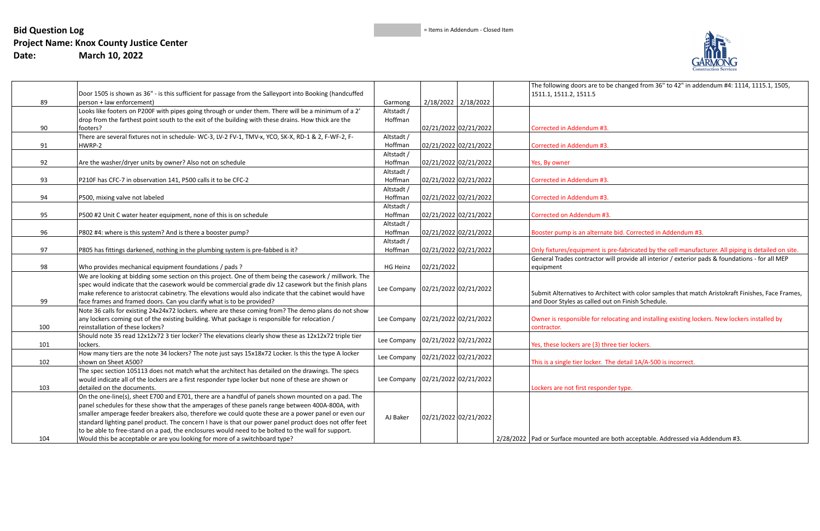# **Bid Question Log** Elems in Addendum - Closed Item **Project Name: Knox County Justice Center Date: March 10, 2022**

|     | Door 1505 is shown as 36" - is this sufficient for passage from the Salleyport into Booking (handcuffed                                                                                                    |                                     |                       |                       | The following doors are to be changed fron<br>1511.1, 1511.2, 1511.5 |
|-----|------------------------------------------------------------------------------------------------------------------------------------------------------------------------------------------------------------|-------------------------------------|-----------------------|-----------------------|----------------------------------------------------------------------|
| 89  | person + law enforcement)                                                                                                                                                                                  | Garmong                             |                       | 2/18/2022 2/18/2022   |                                                                      |
|     | Looks like footers on P200F with pipes going through or under them. There will be a minimum of a 2'<br>drop from the farthest point south to the exit of the building with these drains. How thick are the | Altstadt /<br>Hoffman               |                       |                       |                                                                      |
| 90  | footers?                                                                                                                                                                                                   |                                     | 02/21/2022 02/21/2022 |                       | Corrected in Addendum #3.                                            |
|     | There are several fixtures not in schedule- WC-3, LV-2 FV-1, TMV-x, YCO, SK-X, RD-1 & 2, F-WF-2, F-                                                                                                        | Altstadt /                          |                       |                       |                                                                      |
| 91  | HWRP-2                                                                                                                                                                                                     | Hoffman                             | 02/21/2022 02/21/2022 |                       | Corrected in Addendum #3.                                            |
|     |                                                                                                                                                                                                            | Altstadt /                          |                       |                       |                                                                      |
| 92  | Are the washer/dryer units by owner? Also not on schedule                                                                                                                                                  | Hoffman                             | 02/21/2022 02/21/2022 |                       | Yes, By owner                                                        |
|     |                                                                                                                                                                                                            | Altstadt /                          |                       |                       |                                                                      |
| 93  | P210F has CFC-7 in observation 141, P500 calls it to be CFC-2                                                                                                                                              | Hoffman                             | 02/21/2022 02/21/2022 |                       | Corrected in Addendum #3.                                            |
|     |                                                                                                                                                                                                            | Altstadt /                          |                       |                       |                                                                      |
| 94  | P500, mixing valve not labeled                                                                                                                                                                             | Hoffman                             | 02/21/2022 02/21/2022 |                       | Corrected in Addendum #3.                                            |
|     |                                                                                                                                                                                                            | Altstadt /                          |                       |                       |                                                                      |
| 95  | P500 #2 Unit C water heater equipment, none of this is on schedule                                                                                                                                         | Hoffman                             | 02/21/2022 02/21/2022 |                       | Corrected on Addendum #3.                                            |
|     |                                                                                                                                                                                                            | Altstadt /                          |                       |                       |                                                                      |
| 96  | P802 #4: where is this system? And is there a booster pump?                                                                                                                                                | Hoffman                             | 02/21/2022 02/21/2022 |                       | Booster pump is an alternate bid. Correcte                           |
|     |                                                                                                                                                                                                            | Altstadt /                          |                       |                       |                                                                      |
| 97  | P805 has fittings darkened, nothing in the plumbing system is pre-fabbed is it?                                                                                                                            | Hoffman                             | 02/21/2022 02/21/2022 |                       | Only fixtures/equipment is pre-fabricated b                          |
|     |                                                                                                                                                                                                            |                                     |                       |                       | General Trades contractor will provide all ir                        |
| 98  | Who provides mechanical equipment foundations / pads ?                                                                                                                                                     | HG Heinz                            | 02/21/2022            |                       | equipment                                                            |
|     | We are looking at bidding some section on this project. One of them being the casework / millwork. The                                                                                                     |                                     |                       |                       |                                                                      |
|     | spec would indicate that the casework would be commercial grade div 12 casework but the finish plans                                                                                                       |                                     |                       |                       |                                                                      |
|     | make reference to aristocrat cabinetry. The elevations would also indicate that the cabinet would have                                                                                                     | Lee Company   02/21/2022 02/21/2022 |                       |                       | Submit Alternatives to Architect with color                          |
| 99  | face frames and framed doors. Can you clarify what is to be provided?                                                                                                                                      |                                     |                       |                       | and Door Styles as called out on Finish Scho                         |
|     | Note 36 calls for existing 24x24x72 lockers. where are these coming from? The demo plans do not show                                                                                                       |                                     |                       |                       |                                                                      |
|     | any lockers coming out of the existing building. What package is responsible for relocation /                                                                                                              | Lee Company   02/21/2022 02/21/2022 |                       |                       | Owner is responsible for relocating and inst                         |
| 100 | reinstallation of these lockers?                                                                                                                                                                           |                                     |                       |                       | contractor.                                                          |
|     | Should note 35 read 12x12x72 3 tier locker? The elevations clearly show these as 12x12x72 triple tier                                                                                                      | Lee Company                         | 02/21/2022 02/21/2022 |                       |                                                                      |
| 101 | lockers.                                                                                                                                                                                                   |                                     |                       |                       | Yes, these lockers are (3) three tier lockers.                       |
|     | How many tiers are the note 34 lockers? The note just says 15x18x72 Locker. Is this the type A locker                                                                                                      | Lee Company                         | 02/21/2022 02/21/2022 |                       |                                                                      |
| 102 | shown on Sheet A500?                                                                                                                                                                                       |                                     |                       |                       | This is a single tier locker. The detail 1A/A-!                      |
|     | The spec section 105113 does not match what the architect has detailed on the drawings. The specs                                                                                                          |                                     |                       |                       |                                                                      |
|     | would indicate all of the lockers are a first responder type locker but none of these are shown or                                                                                                         | Lee Company   02/21/2022 02/21/2022 |                       |                       |                                                                      |
| 103 | detailed on the documents.                                                                                                                                                                                 |                                     |                       |                       | Lockers are not first responder type.                                |
|     | On the one-line(s), sheet E700 and E701, there are a handful of panels shown mounted on a pad. The                                                                                                         |                                     |                       |                       |                                                                      |
|     | panel schedules for these show that the amperages of these panels range between 400A-800A, with                                                                                                            |                                     |                       |                       |                                                                      |
|     | smaller amperage feeder breakers also, therefore we could quote these are a power panel or even our                                                                                                        | AJ Baker                            |                       | 02/21/2022 02/21/2022 |                                                                      |
|     | standard lighting panel product. The concern I have is that our power panel product does not offer feet                                                                                                    |                                     |                       |                       |                                                                      |
|     | to be able to free-stand on a pad, the enclosures would need to be bolted to the wall for support.                                                                                                         |                                     |                       |                       |                                                                      |
| 104 | Would this be acceptable or are you looking for more of a switchboard type?                                                                                                                                |                                     |                       |                       | 2/28/2022   Pad or Surface mounted are both acceptab                 |



to be changed from 36" to 42" in addendum #4: 1114, 1115.1, 1505,

| łЗ. |  |  |  |
|-----|--|--|--|
| ł3. |  |  |  |
|     |  |  |  |
|     |  |  |  |
| łЗ. |  |  |  |
| łЗ. |  |  |  |
| #3. |  |  |  |

nate bid. Corrected in Addendum #3.

is pre-fabricated by the cell manufacturer. All piping is detailed on site. or will provide all interior / exterior pads & foundations - for all MEP

rchitect with color samples that match Aristokraft Finishes, Face Frames, l out on Finish Schedule.

relocating and installing existing lockers. New lockers installed by

. The detail 1A/A-500 is incorrect.

| 2/28/2022 | Pad or Surface mounted are both acceptable. Addressed via Addendum #3.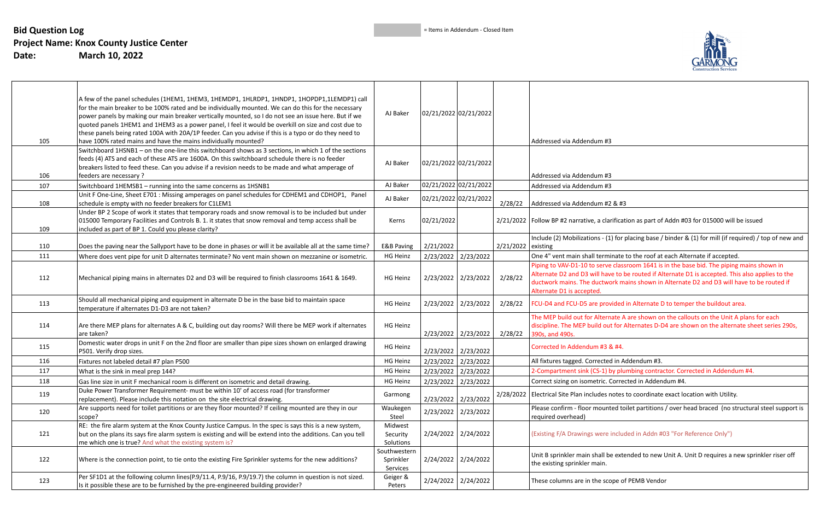|            |                       |           | Addressed via Addendum #3                                                                                                                                                                                                                                                                                               |
|------------|-----------------------|-----------|-------------------------------------------------------------------------------------------------------------------------------------------------------------------------------------------------------------------------------------------------------------------------------------------------------------------------|
|            | )2/21/2022 02/21/2022 |           |                                                                                                                                                                                                                                                                                                                         |
|            |                       |           | Addressed via Addendum #3                                                                                                                                                                                                                                                                                               |
|            | )2/21/2022 02/21/2022 |           | Addressed via Addendum #3                                                                                                                                                                                                                                                                                               |
|            | 02/21/2022 02/21/2022 | 2/28/22   | Addressed via Addendum #2 & #3                                                                                                                                                                                                                                                                                          |
| 02/21/2022 |                       | 2/21/2022 | Follow BP #2 narrative, a clarification as part of Addn #03 for 015000 will be issued                                                                                                                                                                                                                                   |
| 2/21/2022  |                       | 2/21/2022 | Include (2) Mobilizations - (1) for placing base / binder & (1) for mill (if required) / top of new and<br>existing                                                                                                                                                                                                     |
| 2/23/2022  | 2/23/2022             |           | One 4" vent main shall terminate to the roof at each Alternate if accepted.                                                                                                                                                                                                                                             |
| 2/23/2022  | 2/23/2022             | 2/28/22   | Piping to VAV-D1-10 to serve classroom 1641 is in the base bid. The piping mains shown in<br>Alternate D2 and D3 will have to be routed if Alternate D1 is accepted. This also applies to the<br>ductwork mains. The ductwork mains shown in Alternate D2 and D3 will have to be routed if<br>Alternate D1 is accepted. |
| 2/23/2022  | 2/23/2022             | 2/28/22   | FCU-D4 and FCU-D5 are provided in Alternate D to temper the buildout area.                                                                                                                                                                                                                                              |
| 2/23/2022  | 2/23/2022             | 2/28/22   | The MEP build out for Alternate A are shown on the callouts on the Unit A plans for each<br>discipline. The MEP build out for Alternates D-D4 are shown on the alternate sheet series 290s,<br>390s, and 490s.                                                                                                          |
| 2/23/2022  | 2/23/2022             |           | Corrected In Addendum #3 & #4.                                                                                                                                                                                                                                                                                          |
| 2/23/2022  | 2/23/2022             |           | All fixtures tagged. Corrected in Addendum #3.                                                                                                                                                                                                                                                                          |
| 2/23/2022  | 2/23/2022             |           | 2-Compartment sink (CS-1) by plumbing contractor. Corrected in Addendum #4.                                                                                                                                                                                                                                             |
| 2/23/2022  | 2/23/2022             |           | Correct sizing on isometric. Corrected in Addendum #4.                                                                                                                                                                                                                                                                  |
| 2/23/2022  | 2/23/2022             | 2/28/2022 | Electrical Site Plan includes notes to coordinate exact location with Utility.                                                                                                                                                                                                                                          |
| 2/23/2022  | 2/23/2022             |           | Please confirm - floor mounted toilet partitions / over head braced (no structural steel support is<br>required overhead)                                                                                                                                                                                               |
| 2/24/2022  | 2/24/2022             |           | (Existing F/A Drawings were included in Addn #03 "For Reference Only")                                                                                                                                                                                                                                                  |
| 2/24/2022  | 2/24/2022             |           | Unit B sprinkler main shall be extended to new Unit A. Unit D requires a new sprinkler riser off<br>the existing sprinkler main.                                                                                                                                                                                        |
| 2/24/2022  | 2/24/2022             |           | These columns are in the scope of PEMB Vendor                                                                                                                                                                                                                                                                           |

# **Bid Question Log Example 2018** and  $\overline{a}$  and  $\overline{b}$  and  $\overline{c}$  and  $\overline{d}$  and  $\overline{b}$  and  $\overline{b}$  and  $\overline{c}$  and  $\overline{d}$  and  $\overline{b}$  and  $\overline{c}$  and  $\overline{c}$  and  $\overline{c}$  and  $\overline{c}$  and  $\overline{c}$  and  $\$ **Project Name: Knox County Justice Center<br>Date: March 10, 2022 March 10, 2022**

| 105 | A few of the panel schedules (1HEM1, 1HEM3, 1HEMDP1, 1HLRDP1, 1HNDP1, 1HOPDP1,1LEMDP1) call<br>for the main breaker to be 100% rated and be individually mounted. We can do this for the necessary<br>power panels by making our main breaker vertically mounted, so I do not see an issue here. But if we<br>quoted panels 1HEM1 and 1HEM3 as a power panel, I feel it would be overkill on size and cost due to<br>these panels being rated 100A with 20A/1P feeder. Can you advise if this is a typo or do they need to<br>have 100% rated mains and have the mains individually mounted? | AJ Baker                              |                       | 02/21/2022 02/21/2022 |                    | Addressed via Addendum #3                                                                                                                                                                                                                                                                                               |
|-----|----------------------------------------------------------------------------------------------------------------------------------------------------------------------------------------------------------------------------------------------------------------------------------------------------------------------------------------------------------------------------------------------------------------------------------------------------------------------------------------------------------------------------------------------------------------------------------------------|---------------------------------------|-----------------------|-----------------------|--------------------|-------------------------------------------------------------------------------------------------------------------------------------------------------------------------------------------------------------------------------------------------------------------------------------------------------------------------|
| 106 | Switchboard 1HSNB1 - on the one-line this switchboard shows as 3 sections, in which 1 of the sections<br>feeds (4) ATS and each of these ATS are 1600A. On this switchboard schedule there is no feeder<br>breakers listed to feed these. Can you advise if a revision needs to be made and what amperage of<br>feeders are necessary?                                                                                                                                                                                                                                                       | AJ Baker                              |                       | 02/21/2022 02/21/2022 |                    | Addressed via Addendum #3                                                                                                                                                                                                                                                                                               |
| 107 | Switchboard 1HEMSB1 - running into the same concerns as 1HSNB1                                                                                                                                                                                                                                                                                                                                                                                                                                                                                                                               | AJ Baker                              |                       | 02/21/2022 02/21/2022 |                    | Addressed via Addendum #3                                                                                                                                                                                                                                                                                               |
| 108 | Unit F One-Line, Sheet E701 : Missing amperages on panel schedules for CDHEM1 and CDHOP1, Panel<br>schedule is empty with no feeder breakers for C1LEM1                                                                                                                                                                                                                                                                                                                                                                                                                                      | AJ Baker                              | 02/21/2022 02/21/2022 |                       | 2/28/22            | Addressed via Addendum #2 & #3                                                                                                                                                                                                                                                                                          |
| 109 | Under BP 2 Scope of work it states that temporary roads and snow removal is to be included but under<br>015000 Temporary Facilities and Controls B. 1. it states that snow removal and temp access shall be<br>included as part of BP 1. Could you please clarity?                                                                                                                                                                                                                                                                                                                           | Kerns                                 | 02/21/2022            |                       |                    | 2/21/2022   Follow BP #2 narrative, a clarification as part of Addn #03 for 015000 will be issued                                                                                                                                                                                                                       |
| 110 | Does the paving near the Sallyport have to be done in phases or will it be available all at the same time?                                                                                                                                                                                                                                                                                                                                                                                                                                                                                   | E&B Paving                            | 2/21/2022             |                       | 2/21/2022 existing | Include (2) Mobilizations - (1) for placing base / binder & (1) for mill (if required) / top of new and                                                                                                                                                                                                                 |
| 111 | Where does vent pipe for unit D alternates terminate? No vent main shown on mezzanine or isometric.                                                                                                                                                                                                                                                                                                                                                                                                                                                                                          | <b>HG Heinz</b>                       | 2/23/2022 2/23/2022   |                       |                    | One 4" vent main shall terminate to the roof at each Alternate if accepted.                                                                                                                                                                                                                                             |
| 112 | Mechanical piping mains in alternates D2 and D3 will be required to finish classrooms 1641 & 1649.                                                                                                                                                                                                                                                                                                                                                                                                                                                                                           | HG Heinz                              |                       | 2/23/2022 2/23/2022   | 2/28/22            | Piping to VAV-D1-10 to serve classroom 1641 is in the base bid. The piping mains shown in<br>Alternate D2 and D3 will have to be routed if Alternate D1 is accepted. This also applies to the<br>ductwork mains. The ductwork mains shown in Alternate D2 and D3 will have to be routed if<br>Alternate D1 is accepted. |
| 113 | Should all mechanical piping and equipment in alternate D be in the base bid to maintain space<br>temperature if alternates D1-D3 are not taken?                                                                                                                                                                                                                                                                                                                                                                                                                                             | <b>HG Heinz</b>                       |                       | 2/23/2022 2/23/2022   | 2/28/22            | FCU-D4 and FCU-D5 are provided in Alternate D to temper the buildout area.                                                                                                                                                                                                                                              |
| 114 | Are there MEP plans for alternates A & C, building out day rooms? Will there be MEP work if alternates<br>are taken?                                                                                                                                                                                                                                                                                                                                                                                                                                                                         | HG Heinz                              |                       | 2/23/2022 2/23/2022   | 2/28/22            | The MEP build out for Alternate A are shown on the callouts on the Unit A plans for each<br>discipline. The MEP build out for Alternates D-D4 are shown on the alternate sheet series 290s,<br>390s, and 490s.                                                                                                          |
| 115 | Domestic water drops in unit F on the 2nd floor are smaller than pipe sizes shown on enlarged drawing<br>P501. Verify drop sizes.                                                                                                                                                                                                                                                                                                                                                                                                                                                            | HG Heinz                              |                       | 2/23/2022 2/23/2022   |                    | Corrected In Addendum #3 & #4.                                                                                                                                                                                                                                                                                          |
| 116 | Fixtures not labeled detail #7 plan P500                                                                                                                                                                                                                                                                                                                                                                                                                                                                                                                                                     | HG Heinz                              |                       | 2/23/2022 2/23/2022   |                    | All fixtures tagged. Corrected in Addendum #3.                                                                                                                                                                                                                                                                          |
| 117 | What is the sink in meal prep 144?                                                                                                                                                                                                                                                                                                                                                                                                                                                                                                                                                           | <b>HG Heinz</b>                       |                       | 2/23/2022 2/23/2022   |                    | 2-Compartment sink (CS-1) by plumbing contractor. Corrected in Addendum #4.                                                                                                                                                                                                                                             |
| 118 | Gas line size in unit F mechanical room is different on isometric and detail drawing.                                                                                                                                                                                                                                                                                                                                                                                                                                                                                                        | <b>HG Heinz</b>                       |                       | 2/23/2022 2/23/2022   |                    | Correct sizing on isometric. Corrected in Addendum #4.                                                                                                                                                                                                                                                                  |
| 119 | Duke Power Transformer Requirement- must be within 10' of access road (for transformer<br>replacement). Please include this notation on the site electrical drawing.                                                                                                                                                                                                                                                                                                                                                                                                                         | Garmong                               |                       | 2/23/2022 2/23/2022   |                    | 2/28/2022   Electrical Site Plan includes notes to coordinate exact location with Utility.                                                                                                                                                                                                                              |
| 120 | Are supports need for toilet partitions or are they floor mounted? If ceiling mounted are they in our<br>scope?                                                                                                                                                                                                                                                                                                                                                                                                                                                                              | Waukegen<br>Steel                     |                       | 2/23/2022 2/23/2022   |                    | Please confirm - floor mounted toilet partitions / over head braced (no structural steel support is<br>required overhead)                                                                                                                                                                                               |
| 121 | RE: the fire alarm system at the Knox County Justice Campus. In the spec is says this is a new system,<br>but on the plans its says fire alarm system is existing and will be extend into the additions. Can you tell<br>me which one is true? And what the existing system is?                                                                                                                                                                                                                                                                                                              | Midwest<br>Security<br>Solutions      |                       | 2/24/2022 2/24/2022   |                    | (Existing F/A Drawings were included in Addn #03 "For Reference Only")                                                                                                                                                                                                                                                  |
| 122 | Where is the connection point, to tie onto the existing Fire Sprinkler systems for the new additions?                                                                                                                                                                                                                                                                                                                                                                                                                                                                                        | Southwestern<br>Sprinkler<br>Services | 2/24/2022 2/24/2022   |                       |                    | Unit B sprinkler main shall be extended to new Unit A. Unit D requires a new sprinkler riser off<br>the existing sprinkler main.                                                                                                                                                                                        |
| 123 | Per SF1D1 at the following column lines(P.9/11.4, P.9/16, P.9/19.7) the column in question is not sized.<br>Is it possible these are to be furnished by the pre-engineered building provider?                                                                                                                                                                                                                                                                                                                                                                                                | Geiger &<br>Peters                    |                       | 2/24/2022 2/24/2022   |                    | These columns are in the scope of PEMB Vendor                                                                                                                                                                                                                                                                           |

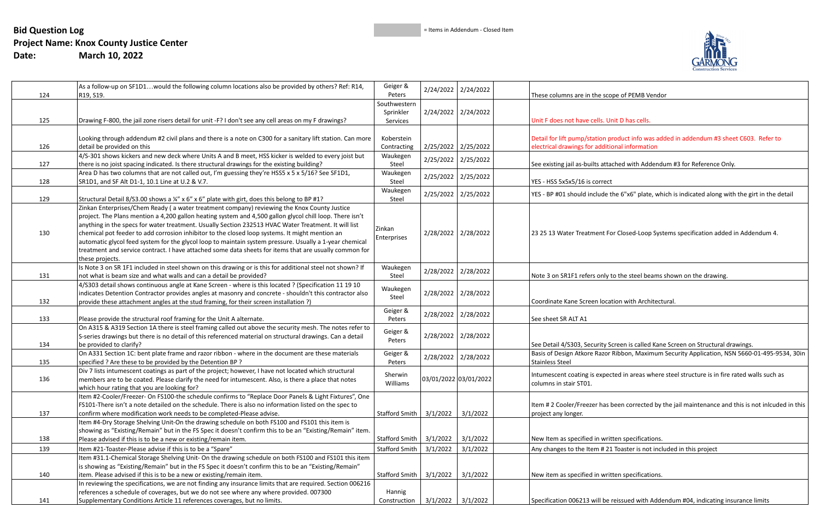# **Bid Question Log**  $\blacksquare$  Items in Addendum - Closed Item **Project Name: Knox County Justice Center Date: March 10, 2022**

|     | As a follow-up on SF1D1would the following column locations also be provided by others? Ref: R14,                                                                                                | Geiger &              |                       | $2/24/2022$   2/24/2022 |                                  |
|-----|--------------------------------------------------------------------------------------------------------------------------------------------------------------------------------------------------|-----------------------|-----------------------|-------------------------|----------------------------------|
| 124 | R19, S19.                                                                                                                                                                                        | Peters                |                       |                         | These columns are in the sco     |
|     |                                                                                                                                                                                                  | Southwestern          |                       |                         |                                  |
|     |                                                                                                                                                                                                  | Sprinkler             | 2/24/2022             | 2/24/2022               |                                  |
| 125 | Drawing F-800, the jail zone risers detail for unit -F? I don't see any cell areas on my F drawings?                                                                                             | Services              |                       |                         | Unit F does not have cells. Ur   |
|     |                                                                                                                                                                                                  |                       |                       |                         |                                  |
|     | Looking through addendum #2 civil plans and there is a note on C300 for a sanitary lift station. Can more                                                                                        | Koberstein            |                       |                         | Detail for lift pump/station pr  |
| 126 | detail be provided on this                                                                                                                                                                       | Contracting           | 2/25/2022 2/25/2022   |                         | electrical drawings for additio  |
|     | 4/S-301 shows kickers and new deck where Units A and B meet, HSS kicker is welded to every joist but                                                                                             | Waukegen              |                       | 2/25/2022 2/25/2022     |                                  |
| 127 | there is no joist spacing indicated. Is there structural drawings for the existing building?                                                                                                     | Steel                 |                       |                         | See existing jail as-builts atta |
|     | Area D has two columns that are not called out, I'm guessing they're HSS5 x 5 x 5/16? See SF1D1,                                                                                                 | Waukegen              | 2/25/2022             | 2/25/2022               |                                  |
| 128 | SR1D1, and SF Alt D1-1, 10.1 Line at U.2 & V.7.                                                                                                                                                  | Steel                 |                       |                         | YES - HSS 5x5x5/16 is correct    |
|     |                                                                                                                                                                                                  | Waukegen              | 2/25/2022 2/25/2022   |                         | YES - BP #01 should include t    |
| 129 | Structural Detail 8/S3.00 shows a ¼" x 6" x 6" plate with girt, does this belong to BP #1?                                                                                                       | Steel                 |                       |                         |                                  |
|     | Zinkan Enterprises/Chem Ready (a water treatment company) reviewing the Knox County Justice                                                                                                      |                       |                       |                         |                                  |
|     | project. The Plans mention a 4,200 gallon heating system and 4,500 gallon glycol chill loop. There isn't                                                                                         |                       |                       |                         |                                  |
|     | anything in the specs for water treatment. Usually Section 232513 HVAC Water Treatment. It will list                                                                                             | Zinkan                |                       |                         |                                  |
| 130 | chemical pot feeder to add corrosion inhibitor to the closed loop systems. It might mention an                                                                                                   | Enterprises           | 2/28/2022             | 2/28/2022               | 23 25 13 Water Treatment Fo      |
|     | automatic glycol feed system for the glycol loop to maintain system pressure. Usually a 1-year chemical                                                                                          |                       |                       |                         |                                  |
|     | treatment and service contract. I have attached some data sheets for items that are usually common for                                                                                           |                       |                       |                         |                                  |
|     | these projects.                                                                                                                                                                                  |                       |                       |                         |                                  |
|     | Is Note 3 on SR 1F1 included in steel shown on this drawing or is this for additional steel not shown? If                                                                                        | Waukegen              |                       | 2/28/2022 2/28/2022     |                                  |
| 131 | not what is beam size and what walls and can a detail be provided?                                                                                                                               | Steel                 |                       |                         | Note 3 on SR1F1 refers only t    |
|     | 4/S303 detail shows continuous angle at Kane Screen - where is this located ? (Specification 11 19 10                                                                                            | Waukegen              |                       | 2/28/2022               |                                  |
| 132 | indicates Detention Contractor provides angles at masonry and concrete - shouldn't this contractor also<br>provide these attachment angles at the stud framing, for their screen installation ?) | Steel                 | 2/28/2022             |                         | Coordinate Kane Screen locat     |
|     |                                                                                                                                                                                                  | Geiger &              |                       |                         |                                  |
| 133 | Please provide the structural roof framing for the Unit A alternate.                                                                                                                             | Peters                | 2/28/2022             | 2/28/2022               | See sheet SR ALT A1              |
|     | On A315 & A319 Section 1A there is steel framing called out above the security mesh. The notes refer to                                                                                          |                       |                       |                         |                                  |
|     | S-series drawings but there is no detail of this referenced material on structural drawings. Can a detail                                                                                        | Geiger &              |                       | 2/28/2022 2/28/2022     |                                  |
| 134 | be provided to clarify?                                                                                                                                                                          | Peters                |                       |                         | See Detail 4/S303, Security So   |
|     | On A331 Section 1C: bent plate frame and razor ribbon - where in the document are these materials                                                                                                | Geiger &              |                       |                         | Basis of Design Atkore Razor     |
| 135 | specified ? Are these to be provided by the Detention BP ?                                                                                                                                       | Peters                | 2/28/2022             | 2/28/2022               | <b>Stainless Steel</b>           |
|     | Div 7 lists intumescent coatings as part of the project; however, I have not located which structural                                                                                            |                       |                       |                         |                                  |
| 136 | members are to be coated. Please clarify the need for intumescent. Also, is there a place that notes                                                                                             | Sherwin               | 03/01/2022 03/01/2022 |                         | Intumescent coating is expec     |
|     | which hour rating that you are looking for?                                                                                                                                                      | Williams              |                       |                         | columns in stair ST01.           |
|     | Item #2-Cooler/Freezer- On FS100-the schedule confirms to "Replace Door Panels & Light Fixtures", One                                                                                            |                       |                       |                         |                                  |
|     | FS101-There isn't a note detailed on the schedule. There is also no information listed on the spec to                                                                                            |                       |                       |                         | Item # 2 Cooler/Freezer has b    |
| 137 | confirm where modification work needs to be completed-Please advise.                                                                                                                             | <b>Stafford Smith</b> | 3/1/2022              | 3/1/2022                | project any longer.              |
|     | Item #4-Dry Storage Shelving Unit-On the drawing schedule on both FS100 and FS101 this item is                                                                                                   |                       |                       |                         |                                  |
|     | showing as "Existing/Remain" but in the FS Spec it doesn't confirm this to be an "Existing/Remain" item.                                                                                         |                       |                       |                         |                                  |
| 138 | Please advised if this is to be a new or existing/remain item.                                                                                                                                   | Stafford Smith        | 3/1/2022              | 3/1/2022                | New Item as specified in writ    |
| 139 | Item #21-Toaster-Please advise if this is to be a "Spare"                                                                                                                                        | <b>Stafford Smith</b> | 3/1/2022              | 3/1/2022                | Any changes to the Item #21      |
|     | Item #31.1-Chemical Storage Shelving Unit- On the drawing schedule on both FS100 and FS101 this item                                                                                             |                       |                       |                         |                                  |
|     | is showing as "Existing/Remain" but in the FS Spec it doesn't confirm this to be an "Existing/Remain"                                                                                            |                       |                       |                         |                                  |
| 140 | item. Please advised if this is to be a new or existing/remain item.                                                                                                                             | Stafford Smith        | 3/1/2022              | 3/1/2022                | New item as specified in writ    |
|     | In reviewing the specifications, we are not finding any insurance limits that are required. Section 006216                                                                                       |                       |                       |                         |                                  |
|     | references a schedule of coverages, but we do not see where any where provided. 007300                                                                                                           | Hannig                |                       |                         |                                  |
| 141 | Supplementary Conditions Article 11 references coverages, but no limits.                                                                                                                         | Construction          | 3/1/2022              | 3/1/2022                | Specification 006213 will be r   |



#### scope of PEMB Vendor

s. Unit D has cells.

on product info was added in addendum #3 sheet C603. Refer to dditional information

attached with Addendum #3 for Reference Only.

de the 6"x6" plate, which is indicated along with the girt in the detail

nt For Closed-Loop Systems specification added in Addendum 4.

nly to the steel beams shown on the drawing.

location with Architectural.

ity Screen is called Kane Screen on Structural drawings. 220r Ribbon, Maximum Security Application, NSN 5660-01-495-9534, 30in

xpected in areas where steel structure is in fire rated walls such as

has been corrected by the jail maintenance and this is not inlcuded in this

written specifications.

#21 Toaster is not included in this project

written specifications.

I be reissued with Addendum #04, indicating insurance limits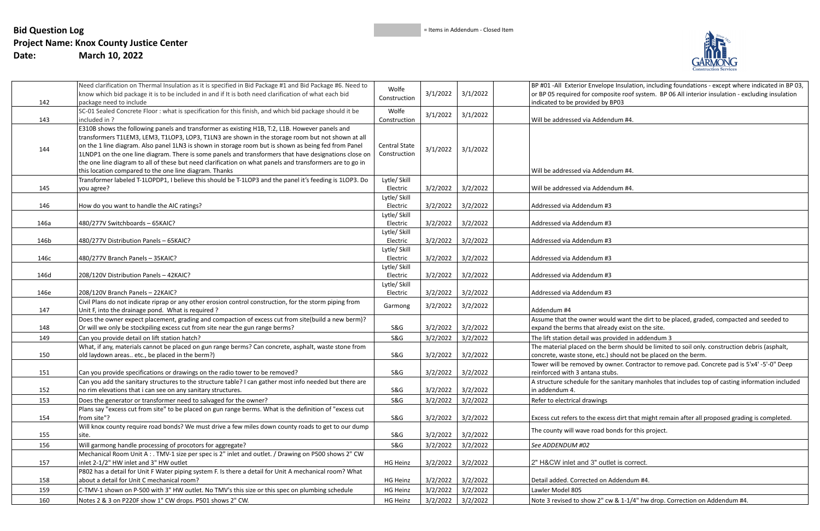# **Bid Question Log**  $\blacksquare$  Items in Addendum - Closed Item **Project Name: Knox County Justice Center Date: March 10, 2022**

| 142  | Need clarification on Thermal Insulation as it is specified in Bid Package #1 and Bid Package #6. Need to<br>know which bid package it is to be included in and if It is both need clarification of what each bid<br>package need to include                                                                                                                                                                                                                                                                                                                                               | Wolfe<br>Construction         | 3/1/2022 | 3/1/2022 | BP #01 -All Exterior Envelope Insulation, includir<br>or BP 05 required for composite roof system. BP<br>indicated to be provided by BP03 |
|------|--------------------------------------------------------------------------------------------------------------------------------------------------------------------------------------------------------------------------------------------------------------------------------------------------------------------------------------------------------------------------------------------------------------------------------------------------------------------------------------------------------------------------------------------------------------------------------------------|-------------------------------|----------|----------|-------------------------------------------------------------------------------------------------------------------------------------------|
| 143  | SC-01 Sealed Concrete Floor : what is specification for this finish, and which bid package should it be<br>included in?                                                                                                                                                                                                                                                                                                                                                                                                                                                                    | Wolfe<br>Construction         | 3/1/2022 | 3/1/2022 | Will be addressed via Addendum #4.                                                                                                        |
| 144  | E310B shows the following panels and transformer as existing H1B, T:2, L1B. However panels and<br>transformers T1LEM3, LEM3, T1LOP3, LOP3, T1LN3 are shown in the storage room but not shown at all<br>on the 1 line diagram. Also panel 1LN3 is shown in storage room but is shown as being fed from Panel<br>1LNDP1 on the one line diagram. There is some panels and transformers that have designations close on<br>the one line diagram to all of these but need clarification on what panels and transformers are to go in<br>this location compared to the one line diagram. Thanks | Central State<br>Construction | 3/1/2022 | 3/1/2022 | Will be addressed via Addendum #4.                                                                                                        |
| 145  | Transformer labeled T-1LOPDP1, I believe this should be T-1LOP3 and the panel it's feeding is 1LOP3. Do<br>you agree?                                                                                                                                                                                                                                                                                                                                                                                                                                                                      | Lytle/ Skill<br>Electric      | 3/2/2022 | 3/2/2022 | Will be addressed via Addendum #4.                                                                                                        |
| 146  | How do you want to handle the AIC ratings?                                                                                                                                                                                                                                                                                                                                                                                                                                                                                                                                                 | Lytle/ Skill<br>Electric      | 3/2/2022 | 3/2/2022 | Addressed via Addendum #3                                                                                                                 |
| 146a | 480/277V Switchboards - 65KAIC?                                                                                                                                                                                                                                                                                                                                                                                                                                                                                                                                                            | Lytle/ Skill<br>Electric      | 3/2/2022 | 3/2/2022 | Addressed via Addendum #3                                                                                                                 |
| 146b | 480/277V Distribution Panels - 65KAIC?                                                                                                                                                                                                                                                                                                                                                                                                                                                                                                                                                     | Lytle/ Skill<br>Electric      | 3/2/2022 | 3/2/2022 | Addressed via Addendum #3                                                                                                                 |
| 146с | 480/277V Branch Panels - 35KAIC?                                                                                                                                                                                                                                                                                                                                                                                                                                                                                                                                                           | Lytle/ Skill<br>Electric      | 3/2/2022 | 3/2/2022 | Addressed via Addendum #3                                                                                                                 |
| 146d | 208/120V Distribution Panels - 42KAIC?                                                                                                                                                                                                                                                                                                                                                                                                                                                                                                                                                     | Lytle/ Skill<br>Electric      | 3/2/2022 | 3/2/2022 | Addressed via Addendum #3                                                                                                                 |
| 146e | 208/120V Branch Panels - 22KAIC?                                                                                                                                                                                                                                                                                                                                                                                                                                                                                                                                                           | Lytle/ Skill<br>Electric      | 3/2/2022 | 3/2/2022 | Addressed via Addendum #3                                                                                                                 |
| 147  | Civil Plans do not indicate riprap or any other erosion control construction, for the storm piping from<br>Unit F, into the drainage pond. What is required?                                                                                                                                                                                                                                                                                                                                                                                                                               | Garmong                       | 3/2/2022 | 3/2/2022 | Addendum #4                                                                                                                               |
| 148  | Does the owner expect placement, grading and compaction of excess cut from site(build a new berm)?<br>Or will we only be stockpiling excess cut from site near the gun range berms?                                                                                                                                                                                                                                                                                                                                                                                                        | S&G                           | 3/2/2022 | 3/2/2022 | Assume that the owner would want the dirt to be<br>expand the berms that already exist on the site.                                       |
| 149  | Can you provide detail on lift station hatch?                                                                                                                                                                                                                                                                                                                                                                                                                                                                                                                                              | S&G                           | 3/2/2022 | 3/2/2022 | The lift station detail was provided in addendum                                                                                          |
| 150  | What, if any, materials cannot be placed on gun range berms? Can concrete, asphalt, waste stone from<br>old laydown areas etc., be placed in the berm?)                                                                                                                                                                                                                                                                                                                                                                                                                                    | S&G                           | 3/2/2022 | 3/2/2022 | The material placed on the berm should be limite<br>concrete, waste stone, etc.) should not be placed                                     |
| 151  | Can you provide specifications or drawings on the radio tower to be removed?                                                                                                                                                                                                                                                                                                                                                                                                                                                                                                               | S&G                           | 3/2/2022 | 3/2/2022 | Tower will be removed by owner. Contractor to re<br>reinforced with 3 antana stubs.                                                       |
| 152  | Can you add the sanitary structures to the structure table? I can gather most info needed but there are<br>no rim elevations that i can see on any sanitary structures.                                                                                                                                                                                                                                                                                                                                                                                                                    | S&G                           | 3/2/2022 | 3/2/2022 | A structure schedule for the sanitary manholes tl<br>in addendum 4.                                                                       |
| 153  | Does the generator or transformer need to salvaged for the owner?                                                                                                                                                                                                                                                                                                                                                                                                                                                                                                                          | S&G                           | 3/2/2022 | 3/2/2022 | Refer to electrical drawings                                                                                                              |
| 154  | Plans say "excess cut from site" to be placed on gun range berms. What is the definition of "excess cut<br>from site"?                                                                                                                                                                                                                                                                                                                                                                                                                                                                     | S&G                           | 3/2/2022 | 3/2/2022 | Excess cut refers to the excess dirt that might ren                                                                                       |
| 155  | Will knox county require road bonds? We must drive a few miles down county roads to get to our dump<br>site.                                                                                                                                                                                                                                                                                                                                                                                                                                                                               | S&G                           | 3/2/2022 | 3/2/2022 | The county will wave road bonds for this project.                                                                                         |
| 156  | Will garmong handle processing of procotors for aggregate?                                                                                                                                                                                                                                                                                                                                                                                                                                                                                                                                 | <b>S&amp;G</b>                | 3/2/2022 | 3/2/2022 | See ADDENDUM #02                                                                                                                          |
| 157  | Mechanical Room Unit A : . TMV-1 size per spec is 2" inlet and outlet. / Drawing on P500 shows 2" CW<br>inlet 2-1/2" HW inlet and 3" HW outlet                                                                                                                                                                                                                                                                                                                                                                                                                                             | <b>HG Heinz</b>               | 3/2/2022 | 3/2/2022 | 2" H&CW inlet and 3" outlet is correct.                                                                                                   |
| 158  | P802 has a detail for Unit F Water piping system F. Is there a detail for Unit A mechanical room? What<br>about a detail for Unit C mechanical room?                                                                                                                                                                                                                                                                                                                                                                                                                                       | HG Heinz                      | 3/2/2022 | 3/2/2022 | Detail added. Corrected on Addendum #4.                                                                                                   |
| 159  | C-TMV-1 shown on P-500 with 3" HW outlet. No TMV's this size or this spec on plumbing schedule                                                                                                                                                                                                                                                                                                                                                                                                                                                                                             | HG Heinz                      | 3/2/2022 | 3/2/2022 | Lawler Model 805                                                                                                                          |
| 160  | Notes 2 & 3 on P220F show 1" CW drops. P501 shows 2" CW.                                                                                                                                                                                                                                                                                                                                                                                                                                                                                                                                   | HG Heinz                      | 3/2/2022 | 3/2/2022 | Note 3 revised to show 2" cw & 1-1/4" hw drop.                                                                                            |



Belope Insulation, including foundations - except where indicated in BP 03, nposite roof system. BP 06 All interior insulation - excluding insulation by BP03

| lendum #4. |
|------------|
|            |
| lendum #4. |
|            |
| #3         |
|            |
| #3         |
|            |
| #3         |
|            |
| #3         |
|            |
| #3         |
|            |
| #3         |
|            |

would want the dirt to be placed, graded, compacted and seeded to Iready exist on the site.

s provided in addendum 3

the berm should be limited to soil only. construction debris (asphalt, tc.) should not be placed on the berm.

y owner. Contractor to remove pad. Concrete pad is 5'x4' -5'-0" Deep stubs.

the sanitary manholes that includes top of casting information included

xcess dirt that might remain after all proposed grading is completed.

" cw & 1-1/4" hw drop. Correction on Addendum #4.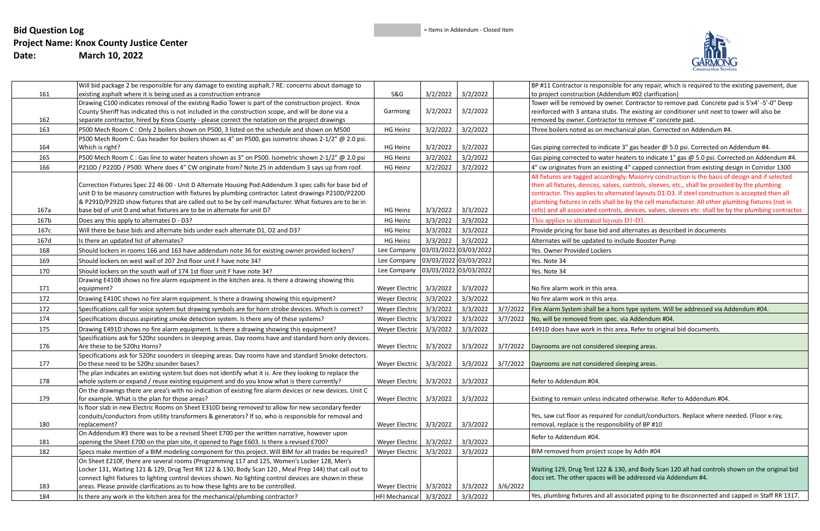# **Bid Question Log** = Items in Addendum - Closed Item **Project Name: Knox County Justice Center Date: March 10, 2022**

|      | Will bid package 2 be responsible for any damage to existing asphalt.? RE: concerns about damage to       |                             |                       |          |          | BP #11 Contractor is responsible for any repair, whic       |
|------|-----------------------------------------------------------------------------------------------------------|-----------------------------|-----------------------|----------|----------|-------------------------------------------------------------|
| 161  | existing asphalt where it is being used as a construction entrance                                        | <b>S&amp;G</b>              | 3/2/2022              | 3/2/2022 |          | to project construction (Addendum #02 clarification         |
|      | Drawing C100 indicates removal of the existing Radio Tower is part of the construction project. Knox      |                             |                       |          |          | Tower will be removed by owner. Contractor to rem           |
|      | County Sheriff has indicated this is not included in the construction scope, and will be done via a       | Garmong                     | 3/2/2022              | 3/2/2022 |          | reinforced with 3 antana stubs. The existing air cond       |
| 162  | separate contractor, hired by Knox County - please correct the notation on the project drawings           |                             |                       |          |          | removed by owner. Contractor to remove 4" concret           |
| 163  | P500 Mech Room C: Only 2 boilers shown on P500, 3 listed on the schedule and shown on M500                | <b>HG Heinz</b>             | 3/2/2022              | 3/2/2022 |          | Three boilers noted as on mechanical plan. Correcte         |
|      | P500 Mech Room C: Gas header for boilers shown as 4" on P500, gas isometric shows 2-1/2" @ 2.0 psi.       |                             |                       |          |          |                                                             |
| 164  | Which is right?                                                                                           | <b>HG Heinz</b>             | 3/2/2022              | 3/2/2022 |          | Gas piping corrected to indicate 3" gas header @ 5.0        |
| 165  | P500 Mech Room C : Gas line to water heaters shown as 3" on P500. Isometric shown 2-1/2" @ 2.0 psi        | <b>HG Heinz</b>             | 3/2/2022              | 3/2/2022 |          | Gas piping corrected to water heaters to indicate 1"        |
| 166  | P210D / P220D / P500: Where does 4" CW originate from? Note 25 in addendum 3 says up from roof.           | <b>HG Heinz</b>             | 3/2/2022              | 3/2/2022 |          | 4" cw originates from an existing 4" capped connect         |
|      |                                                                                                           |                             |                       |          |          | All fixtures are tagged accordingly. Masonry constru-       |
|      | Correction Fixtures Spec 22 46 00 - Unit D Alternate Housing Pod: Addendum 3 spec calls for base bid of   |                             |                       |          |          | then all fixtures, devices, valves, controls, sleeves, et   |
|      | unit D to be masonry construction with fixtures by plumbing contractor. Latest drawings P210D/P220D       |                             |                       |          |          | contractor. This applies to alternated layouts D1-D3.       |
|      | & P291D/P292D show fixtures that are called out to be by cell manufacturer. What fixtures are to be in    |                             |                       |          |          | plumbing fixtures in cells shall be by the cell manufa      |
| 167a | base bid of unit D and what fixtures are to be in alternate for unit D?                                   | HG Heinz                    | 3/3/2022              | 3/3/2022 |          | cells) and all associated controls, devices, valves, sle    |
| 167b | Does any this apply to alternates D - D3?                                                                 | <b>HG Heinz</b>             | 3/3/2022              | 3/3/2022 |          | This applies to alternated layouts D1-D3.                   |
| 167c | Will there be base bids and alternate bids under each alternate D1, D2 and D3?                            | <b>HG Heinz</b>             | 3/3/2022              | 3/3/2022 |          | Provide pricing for base bid and alternates as descril      |
| 167d | Is there an updated list of alternates?                                                                   | <b>HG Heinz</b>             | 3/3/2022              | 3/3/2022 |          | Alternates will be updated to include Booster Pump          |
| 168  | Should lockers in rooms 166 and 163 have addendum note 36 for existing owner provided lockers?            | Lee Company                 | 03/03/2022 03/03/2022 |          |          | Yes. Owner Provided Lockers                                 |
| 169  | Should lockers on west wall of 207 2nd floor unit F have note 34?                                         | Lee Company                 | 03/03/2022 03/03/2022 |          |          | Yes. Note 34                                                |
| 170  | Should lockers on the south wall of 174 1st floor unit F have note 34?                                    | Lee Company                 | 03/03/2022 03/03/2022 |          |          | Yes. Note 34                                                |
|      | Drawing E410B shows no fire alarm equipment in the kitchen area. Is there a drawing showing this          |                             |                       |          |          |                                                             |
| 171  | equipment?                                                                                                | Weyer Electric              | 3/3/2022              | 3/3/2022 |          | No fire alarm work in this area.                            |
| 172  | Drawing E410C shows no fire alarm equipment. Is there a drawing showing this equipment?                   | Weyer Electric              | 3/3/2022              | 3/3/2022 |          | No fire alarm work in this area.                            |
| 172  | Specifications call for voice system but drawing symbols are for horn strobe devices. Which is correct?   | Weyer Electric              | 3/3/2022              | 3/3/2022 | 3/7/2022 | Fire Alarm System shall be a horn type system. Will I       |
| 174  | Specifications discuss aspirating smoke detection system. Is there any of these systems?                  | Weyer Electric              | 3/3/2022              | 3/3/2022 | 3/7/2022 | No, will be removed from spec. via Addendum #04.            |
| 175  | Drawing E491D shows no fire alarm equipment. Is there a drawing showing this equipment?                   | Weyer Electric              | 3/3/2022              | 3/3/2022 |          | E491D does have work in this area. Refer to original        |
|      | Specifications ask for 520hz sounders in sleeping areas. Day rooms have and standard horn only devices.   |                             |                       |          |          |                                                             |
| 176  | Are these to be 520hz Horns?                                                                              | Weyer Electric              | 3/3/2022              | 3/3/2022 |          | 3/7/2022 <b>Dayrooms are not considered sleeping areas.</b> |
|      | Specifications ask for 520hz sounders in sleeping areas. Day rooms have and standard Smoke detectors.     |                             |                       |          |          |                                                             |
| 177  | Do these need to be 520hz sounder bases?                                                                  | Weyer Electric              | 3/3/2022              | 3/3/2022 | 3/7/2022 | Dayrooms are not considered sleeping areas.                 |
|      | The plan indicates an existing system but does not identify what it is. Are they looking to replace the   |                             |                       |          |          |                                                             |
| 178  | whole system or expand / reuse existing equipment and do you know what is there currently?                | Weyer Electric   $3/3/2022$ |                       | 3/3/2022 |          | Refer to Addendum #04.                                      |
|      | On the drawings there are area's with no indication of existing fire alarm devices or new devices. Unit C |                             |                       |          |          |                                                             |
| 179  | for example. What is the plan for those areas?                                                            | Weyer Electric              | 3/3/2022              | 3/3/2022 |          | Existing to remain unless indicated otherwise. Refer        |
|      | Is floor slab in new Electric Rooms on Sheet E310D being removed to allow for new secondary feeder        |                             |                       |          |          |                                                             |
|      | conduits/conductors from utility transformers & generators? If so, who is responsible for removal and     |                             |                       |          |          | Yes, saw cut floor as required for conduit/conductor        |
| 180  | replacement?                                                                                              | Weyer Electric              | 3/3/2022              | 3/3/2022 |          | removal, replace is the responsibility of BP #10            |
|      | On Addendum #3 there was to be a revised Sheet E700 per the written narrative, however upon               |                             |                       |          |          | Refer to Addendum #04.                                      |
| 181  | opening the Sheet E700 on the plan site, it opened to Page E603. Is there a revised E700?                 | Weyer Electric              | 3/3/2022              | 3/3/2022 |          |                                                             |
| 182  | Specs make mention of a BIM modeling component for this project. Will BIM for all trades be required?     | Weyer Electric              | 3/3/2022              | 3/3/2022 |          | BIM removed from project scope by Addn #04                  |
|      | On Sheet E210F, there are several rooms (Programming 117 and 125, Women's Locker 128, Men's               |                             |                       |          |          |                                                             |
|      | Locker 131, Waiting 121 & 129, Drug Test RR 122 & 130, Body Scan 120, Meal Prep 144) that call out to     |                             |                       |          |          | Waiting 129, Drug Test 122 & 130, and Body Scan 12          |
|      | connect light fixtures to lighting control devices shown. No lighting control devices are shown in these  |                             |                       |          |          | docs set. The other spaces will be addressed via Adc        |
| 183  | areas. Please provide clarifications as to how these lights are to be controlled.                         | Weyer Electric              | 3/3/2022              | 3/3/2022 | 3/6/2022 |                                                             |
| 184  | Is there any work in the kitchen area for the mechanical/plumbing contractor?                             | HFI Mechanical   3/3/2022   |                       | 3/3/2022 |          | Yes, plumbing fixtures and all associated piping to be      |
|      |                                                                                                           |                             |                       |          |          |                                                             |



bonsible for any repair, which is required to the existing pavement, due Addendum #02 clarification)

y owner. Contractor to remove pad. Concrete pad is 5'x4' -5'-0" Deep stubs. The existing air conditioner unit next to tower will also be ractor to remove 4" concrete pad.

n mechanical plan. Corrected on Addendum #4.

ndicate 3" gas header @ 5.0 psi. Corrected on Addendum #4.

vater heaters to indicate 1" gas @ 5.0 psi. Corrected on Addendum #4.

existing 4" capped connection from existing design in Corridor 1300 cordingly. Masonry construction is the basis of design and if selected valves, controls, sleeves, etc., shall be provided by the plumbing

o alternated layouts D1-D3. If steel construction is accepted then all shall be by the cell manufacturer. All other plumbing fixtures (not in controls, devices, valves, sleeves etc. shall be by the plumbing contractor.

bid and alternates as described in documents

e a horn type system. Will be addressed via Addendum #04.

If this area. Refer to original bid documents.

indicated otherwise. Refer to Addendum #04.

ired for conduit/conductors. Replace where needed. (Floor x-ray, esponsibility of BP #10

22 & 130, and Body Scan 120 all had controls shown on the original bid es will be addressed via Addendum #4.

Id all associated piping to be disconnected and capped in Staff RR 1317.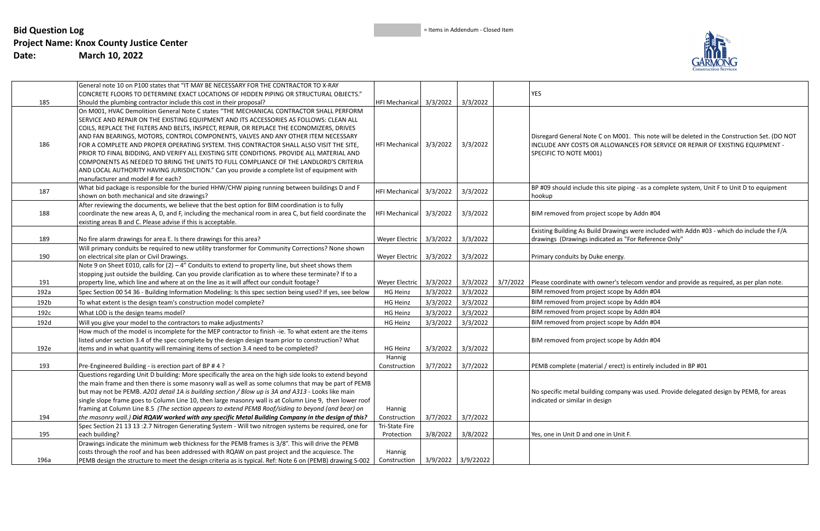# **Bid Question Log**  $\blacksquare$  Items in Addendum - Closed Item **Project Name: Knox County Justice Center Date: March 10, 2022**

|      | General note 10 on P100 states that "IT MAY BE NECESSARY FOR THE CONTRACTOR TO X-RAY                                                                                                                                                                                                                                                                                                                                                                                                                                                                       |                              |          |           |                                                                                                                  |
|------|------------------------------------------------------------------------------------------------------------------------------------------------------------------------------------------------------------------------------------------------------------------------------------------------------------------------------------------------------------------------------------------------------------------------------------------------------------------------------------------------------------------------------------------------------------|------------------------------|----------|-----------|------------------------------------------------------------------------------------------------------------------|
|      | CONCRETE FLOORS TO DETERMINE EXACT LOCATIONS OF HIDDEN PIPING OR STRUCTURAL OBJECTS."                                                                                                                                                                                                                                                                                                                                                                                                                                                                      |                              |          |           | <b>YES</b>                                                                                                       |
| 185  | Should the plumbing contractor include this cost in their proposal?                                                                                                                                                                                                                                                                                                                                                                                                                                                                                        | HFI Mechanical   3/3/2022    |          | 3/3/2022  |                                                                                                                  |
| 186  | On M001, HVAC Demolition General Note C states "THE MECHANICAL CONTRACTOR SHALL PERFORM<br>SERVICE AND REPAIR ON THE EXISTING EQUIPMENT AND ITS ACCESSORIES AS FOLLOWS: CLEAN ALL<br>COILS, REPLACE THE FILTERS AND BELTS, INSPECT, REPAIR, OR REPLACE THE ECONOMIZERS, DRIVES<br>AND FAN BEARINGS, MOTORS, CONTROL COMPONENTS, VALVES AND ANY OTHER ITEM NECESSARY<br>FOR A COMPLETE AND PROPER OPERATING SYSTEM. THIS CONTRACTOR SHALL ALSO VISIT THE SITE,<br>PRIOR TO FINAL BIDDING, AND VERIFY ALL EXISTING SITE CONDITIONS. PROVIDE ALL MATERIAL AND | <b>HFI Mechanical</b>        | 3/3/2022 | 3/3/2022  | Disregard General Note C on M001. This note<br>INCLUDE ANY COSTS OR ALLOWANCES FOR SEI<br>SPECIFIC TO NOTE M001) |
|      | COMPONENTS AS NEEDED TO BRING THE UNITS TO FULL COMPLIANCE OF THE LANDLORD'S CRITERIA<br>AND LOCAL AUTHORITY HAVING JURISDICTION." Can you provide a complete list of equipment with<br>manufacturer and model # for each?                                                                                                                                                                                                                                                                                                                                 |                              |          |           |                                                                                                                  |
| 187  | What bid package is responsible for the buried HHW/CHW piping running between buildings D and F<br>shown on both mechanical and site drawings?                                                                                                                                                                                                                                                                                                                                                                                                             | <b>HFI Mechanical</b>        | 3/3/2022 | 3/3/2022  | BP #09 should include this site piping - as a cor<br>hookup                                                      |
| 188  | After reviewing the documents, we believe that the best option for BIM coordination is to fully<br>coordinate the new areas A, D, and F, including the mechanical room in area C, but field coordinate the<br>existing areas B and C. Please advise if this is acceptable.                                                                                                                                                                                                                                                                                 | <b>HFI Mechanical</b>        | 3/3/2022 | 3/3/2022  | BIM removed from project scope by Addn #04                                                                       |
| 189  | No fire alarm drawings for area E. Is there drawings for this area?                                                                                                                                                                                                                                                                                                                                                                                                                                                                                        | Weyer Electric               | 3/3/2022 | 3/3/2022  | Existing Building As Build Drawings were includ<br>drawings (Drawings indicated as "For Referend                 |
| 190  | Will primary conduits be required to new utility transformer for Community Corrections? None shown<br>on electrical site plan or Civil Drawings.                                                                                                                                                                                                                                                                                                                                                                                                           | Weyer Electric               | 3/3/2022 | 3/3/2022  | Primary conduits by Duke energy.                                                                                 |
|      | Note 9 on Sheet E010, calls for $(2) - 4$ " Conduits to extend to property line, but sheet shows them<br>stopping just outside the building. Can you provide clarification as to where these terminate? If to a                                                                                                                                                                                                                                                                                                                                            |                              |          |           |                                                                                                                  |
| 191  | property line, which line and where at on the line as it will affect our conduit footage?                                                                                                                                                                                                                                                                                                                                                                                                                                                                  | Weyer Electric               | 3/3/2022 | 3/3/2022  | 3/7/2022 Please coordinate with owner's telecom vendo                                                            |
| 192a | Spec Section 00 54 36 - Building Information Modeling: Is this spec section being used? If yes, see below                                                                                                                                                                                                                                                                                                                                                                                                                                                  | <b>HG Heinz</b>              | 3/3/2022 | 3/3/2022  | BIM removed from project scope by Addn #04                                                                       |
| 192b | To what extent is the design team's construction model complete?                                                                                                                                                                                                                                                                                                                                                                                                                                                                                           | <b>HG Heinz</b>              | 3/3/2022 | 3/3/2022  | BIM removed from project scope by Addn #04                                                                       |
| 192c | What LOD is the design teams model?                                                                                                                                                                                                                                                                                                                                                                                                                                                                                                                        | <b>HG Heinz</b>              | 3/3/2022 | 3/3/2022  | BIM removed from project scope by Addn #04                                                                       |
| 192d | Will you give your model to the contractors to make adjustments?                                                                                                                                                                                                                                                                                                                                                                                                                                                                                           | <b>HG Heinz</b>              | 3/3/2022 | 3/3/2022  | BIM removed from project scope by Addn #04                                                                       |
| 192e | How much of the model is incomplete for the MEP contractor to finish -ie. To what extent are the items<br>listed under section 3.4 of the spec complete by the design design team prior to construction? What<br>items and in what quantity will remaining items of section 3.4 need to be completed?                                                                                                                                                                                                                                                      | <b>HG Heinz</b>              | 3/3/2022 | 3/3/2022  | BIM removed from project scope by Addn #04                                                                       |
| 193  | Pre-Engineered Building - is erection part of BP #4?                                                                                                                                                                                                                                                                                                                                                                                                                                                                                                       | Hannig<br>Construction       | 3/7/2022 | 3/7/2022  | PEMB complete (material / erect) is entirely in                                                                  |
|      | Questions regarding Unit D building: More specifically the area on the high side looks to extend beyond<br>the main frame and then there is some masonry wall as well as some columns that may be part of PEMB<br>but may not be PEMB. A201 detail 1A is building section / Blow up is 3A and A313 - Looks like main<br>single slope frame goes to Column Line 10, then large masonry wall is at Column Line 9, then lower roof<br>framing at Column Line 8.5 (The section appears to extend PEMB Roof/siding to beyond (and bear) on                      | Hannig                       |          |           | No specific metal building company was used.<br>indicated or similar in design                                   |
| 194  | the masonry wall.) Did RQAW worked with any specific Metal Building Company in the design of this?                                                                                                                                                                                                                                                                                                                                                                                                                                                         | Construction                 | 3/7/2022 | 3/7/2022  |                                                                                                                  |
| 195  | Spec Section 21 13 13 :2.7 Nitrogen Generating System - Will two nitrogen systems be required, one for<br>each building?                                                                                                                                                                                                                                                                                                                                                                                                                                   | Tri-State Fire<br>Protection | 3/8/2022 | 3/8/2022  | Yes, one in Unit D and one in Unit F.                                                                            |
|      | Drawings indicate the minimum web thickness for the PEMB frames is 3/8". This will drive the PEMB<br>costs through the roof and has been addressed with RQAW on past project and the acquiesce. The                                                                                                                                                                                                                                                                                                                                                        | Hannig                       |          |           |                                                                                                                  |
| 196a | PEMB design the structure to meet the design criteria as is typical. Ref: Note 6 on (PEMB) drawing S-002                                                                                                                                                                                                                                                                                                                                                                                                                                                   | Construction                 | 3/9/2022 | 3/9/22022 |                                                                                                                  |



# Con M001. This note will be deleted in the Construction Set. (DO NOT ALLOWANCES FOR SERVICE OR REPAIR OF EXISTING EQUIPMENT -

is site piping - as a complete system, Unit F to Unit D to equipment

#### ct scope by Addn #04

I Drawings were included with Addn #03 - which do include the F/A cated as "For Reference Only"

wher's telecom vendor and provide as required, as per plan note.

- 
- 
- 
- 

I / erect) is entirely included in BP #01

g company was used. Provide delegated design by PEMB, for areas sign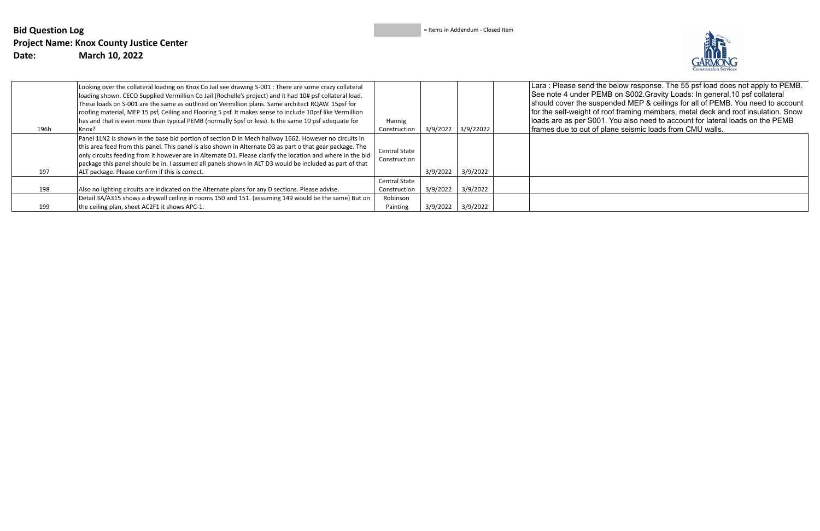# **Bid Question Log** Elems in Addendum - Closed Item **Project Name: Knox County Justice Center Date: March 10, 2022**

Lara : Please send the below response. The 55 psf load does not apply to PEMB. See note 4 under PEMB on S002.Gravity Loads: In general,10 psf collateral should cover the suspended MEP & ceilings for all of PEMB. You need to account for the self-weight of roof framing members, metal deck and roof insulation. Snow loads are as per S001. You also need to account for lateral loads on the PEMB f plane seismic loads from CMU walls.

|      | Looking over the collateral loading on Knox Co Jail see drawing S-001 : There are some crazy collateral<br>loading shown. CECO Supplied Vermillion Co Jail (Rochelle's project) and it had 10# psf collateral load.<br>These loads on S-001 are the same as outlined on Vermillion plans. Same architect RQAW. 15psf for<br>roofing material, MEP 15 psf, Ceiling and Flooring 5 psf. It makes sense to include 10psf like Vermillion<br>has and that is even more than typical PEMB (normally 5psf or less). Is the same 10 psf adequate for | Hannig                               |          |           | Lara: Please send t<br>See note 4 under PE<br>should cover the sus<br>for the self-weight of<br>loads are as per S00 |
|------|-----------------------------------------------------------------------------------------------------------------------------------------------------------------------------------------------------------------------------------------------------------------------------------------------------------------------------------------------------------------------------------------------------------------------------------------------------------------------------------------------------------------------------------------------|--------------------------------------|----------|-----------|----------------------------------------------------------------------------------------------------------------------|
| 196b | Knox?                                                                                                                                                                                                                                                                                                                                                                                                                                                                                                                                         | Construction                         | 3/9/2022 | 3/9/22022 | frames due to out of                                                                                                 |
| 197  | Panel 1LN2 is shown in the base bid portion of section D in Mech hallway 1662. However no circuits in<br>this area feed from this panel. This panel is also shown in Alternate D3 as part o that gear package. The<br>only circuits feeding from it however are in Alternate D1. Please clarify the location and where in the bid<br>package this panel should be in. I assumed all panels shown in ALT D3 would be included as part of that<br>ALT package. Please confirm if this is correct.                                               | <b>Central State</b><br>Construction | 3/9/2022 | 3/9/2022  |                                                                                                                      |
|      |                                                                                                                                                                                                                                                                                                                                                                                                                                                                                                                                               | <b>Central State</b>                 |          |           |                                                                                                                      |
| 198  | Also no lighting circuits are indicated on the Alternate plans for any D sections. Please advise.                                                                                                                                                                                                                                                                                                                                                                                                                                             | Construction                         | 3/9/2022 | 3/9/2022  |                                                                                                                      |
|      | Detail 3A/A315 shows a drywall ceiling in rooms 150 and 151. (assuming 149 would be the same) But on                                                                                                                                                                                                                                                                                                                                                                                                                                          | Robinson                             |          |           |                                                                                                                      |
| 199  | the ceiling plan, sheet AC2F1 it shows APC-1.                                                                                                                                                                                                                                                                                                                                                                                                                                                                                                 | Painting                             | 3/9/2022 | 3/9/2022  |                                                                                                                      |

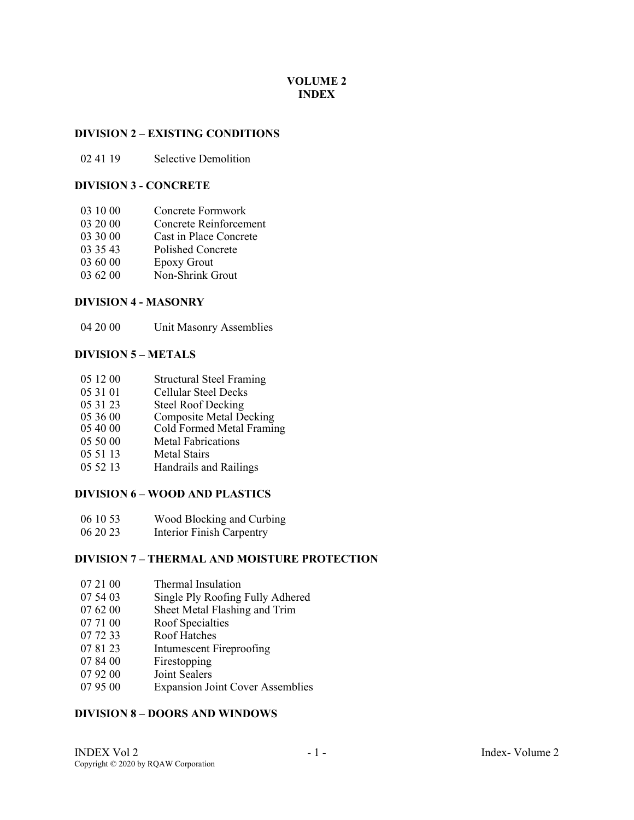# **VOLUME 2 INDEX**

## **DIVISION 2 – EXISTING CONDITIONS**

#### 02 41 19 Selective Demolition

#### **DIVISION 3 - CONCRETE**

- 03 10 00 Concrete Formwork<br>03 20 00 Concrete Reinforcen
- Concrete Reinforcement
- 03 30 00 Cast in Place Concrete
- 03 35 43 Polished Concrete
- 03 60 00 Epoxy Grout<br>03 62 00 Non-Shrink C
- Non-Shrink Grout

#### **DIVISION 4 - MASONRY**

04 20 00 Unit Masonry Assemblies

#### **DIVISION 5 – METALS**

- 05 12 00 Structural Steel Framing
- 05 31 01 Cellular Steel Decks
- 05 31 23 Steel Roof Decking
- 05 36 00 Composite Metal Decking
- Cold Formed Metal Framing
- 05 50 00 Metal Fabrications
- 05 51 13 Metal Stairs<br>05 52 13 Handrails an
- Handrails and Railings

#### **DIVISION 6 – WOOD AND PLASTICS**

- 06 10 53 Wood Blocking and Curbing<br>06 20 23 Interior Finish Carpentry
- Interior Finish Carpentry

# **DIVISION 7 – THERMAL AND MOISTURE PROTECTION**

- 07 21 00 Thermal Insulation
- 07 54 03 Single Ply Roofing Fully Adhered
- 07 62 00 Sheet Metal Flashing and Trim
- 07 71 00 Roof Specialties
- 07 72 33 Roof Hatches
- 07 81 23 Intumescent Fireproofing<br>07 84 00 Firestopping
- Firestopping
- 07 92 00 Joint Sealers
- 07 95 00 Expansion Joint Cover Assemblies

## **DIVISION 8 – DOORS AND WINDOWS**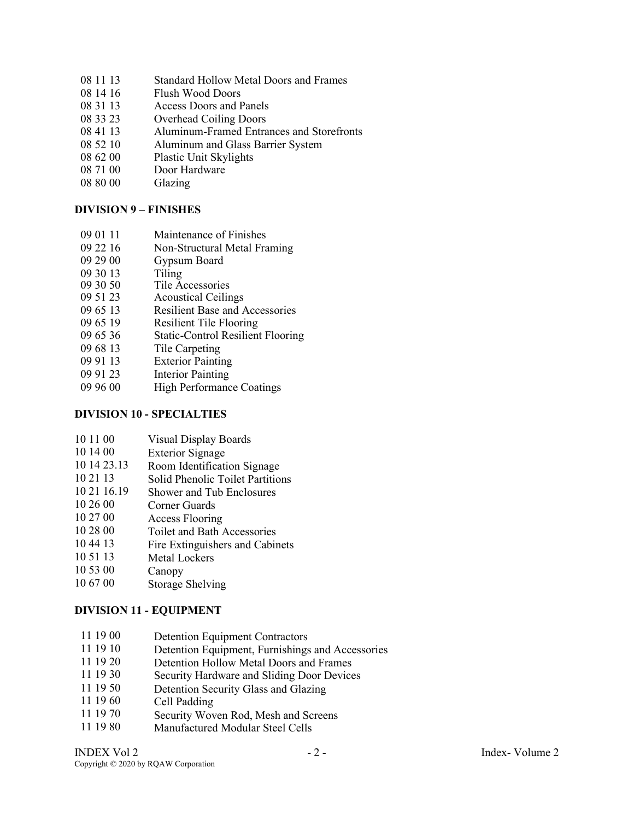- 08 11 13 Standard Hollow Metal Doors and Frames
- 08 14 16 Flush Wood Doors<br>08 31 13 Access Doors and H
- Access Doors and Panels
- 08 33 23 Overhead Coiling Doors
- 08 41 13 Aluminum-Framed Entrances and Storefronts
- 08 52 10 Aluminum and Glass Barrier System
- 08 62 00 Plastic Unit Skylights
- 08 71 00 Door Hardware
- 08 80 00 Glazing

## **DIVISION 9 – FINISHES**

- 09 01 11 Maintenance of Finishes
- 09 22 16 Non-Structural Metal Framing
- 09 29 00 Gypsum Board
- 09 30 13 Tiling
- 09 30 50 Tile Accessories
- 09 51 23 Acoustical Ceilings
- 09 65 13 Resilient Base and Accessories
- 09 65 19<br>
09 65 36<br>
Static-Control Resilient
- **Static-Control Resilient Flooring**
- 09 68 13 Tile Carpeting
- 09 91 13 Exterior Painting
- 09 91 23 Interior Painting<br>09 96 00 High Performanc
- High Performance Coatings

## **DIVISION 10 - SPECIALTIES**

- 10 11 00 Visual Display Boards
- 10 14 00 Exterior Signage
- 10 14 23.13 Room Identification Signage<br>10 21 13 Solid Phenolic Toilet Partition
- 10 21 13 Solid Phenolic Toilet Partitions<br>10 21 16.19 Shower and Tub Enclosures
- 10 21 16.19 Shower and Tub Enclosures<br>10 26 00 Corner Guards
- 10 26 00 Corner Guards<br>10 27 00 Access Floorin
- 10 27 00 Access Flooring<br>10 28 00 Toilet and Bath
- 10 28 00 Toilet and Bath Accessories<br>10 44 13 Fire Extinguishers and Cabin
- Fire Extinguishers and Cabinets
- 10 51 13 Metal Lockers
- 10 53 00 Canopy
- 10 67 00 Storage Shelving

# **DIVISION 11 - EQUIPMENT**

- 11 19 00 Detention Equipment Contractors<br>11 19 10 Detention Equipment Furnishings
- Detention Equipment, Furnishings and Accessories
- 11 19 20 Detention Hollow Metal Doors and Frames
- 11 19 30 Security Hardware and Sliding Door Devices<br>11 19 50 Detention Security Glass and Glazing
- 11 19 50 Detention Security Glass and Glazing<br>11 19 60 Cell Padding
- 11 19 60 Cell Padding<br>11 19 70 Security Wov
- 11 19 70 Security Woven Rod, Mesh and Screens<br>11 19 80 Manufactured Modular Steel Cells
- Manufactured Modular Steel Cells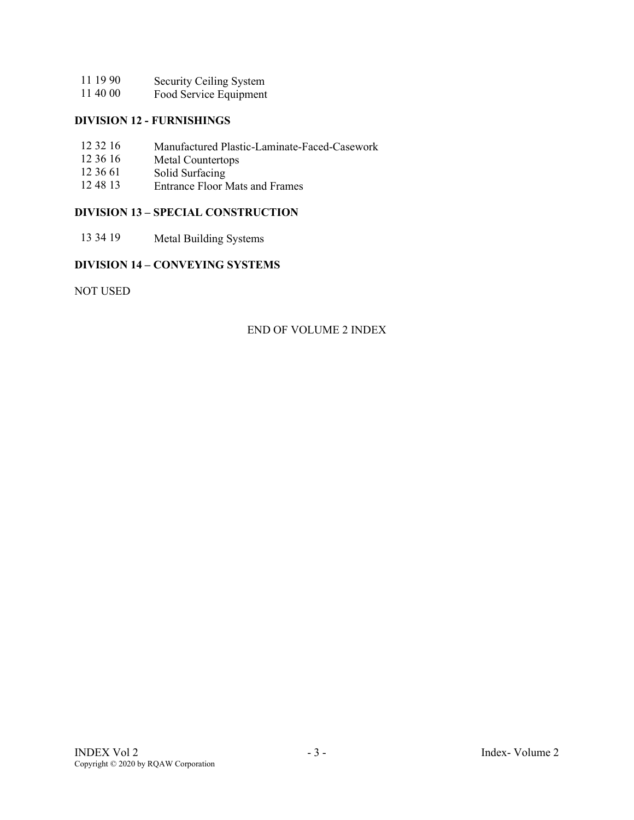- 11 19 90 Security Ceiling System<br>11 40 00 Food Service Equipment
- Food Service Equipment

# **DIVISION 12 - FURNISHINGS**

- 12 32 16 Manufactured Plastic-Laminate-Faced-Casework<br>12 36 16 Metal Countertons
- 12 36 16 Metal Countertops<br>12 36 61 Solid Surfacing
- 12 36 61 Solid Surfacing<br>12 48 13 Entrance Floor
- Entrance Floor Mats and Frames

# **DIVISION 13 – SPECIAL CONSTRUCTION**

13 34 19 Metal Building Systems

# **DIVISION 14 – CONVEYING SYSTEMS**

NOT USED

# END OF VOLUME 2 INDEX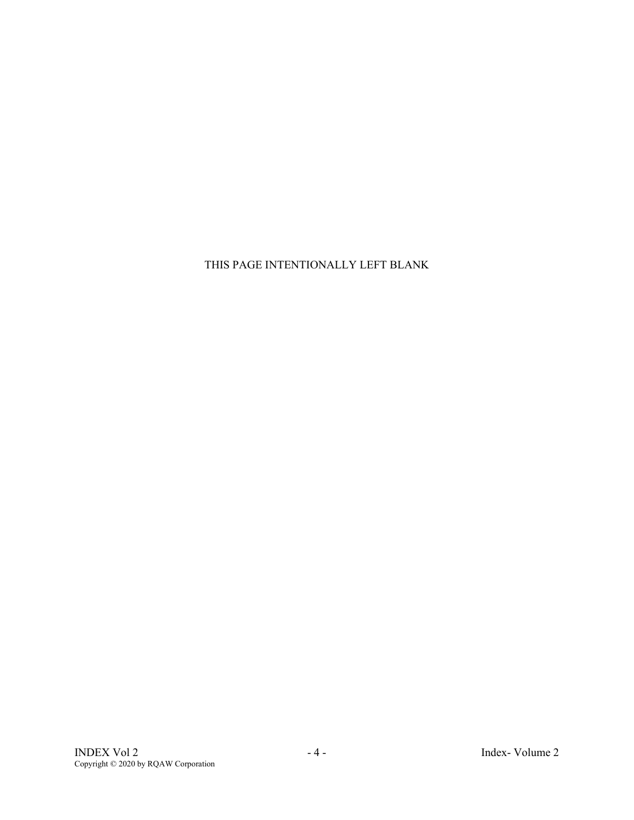THIS PAGE INTENTIONALLY LEFT BLANK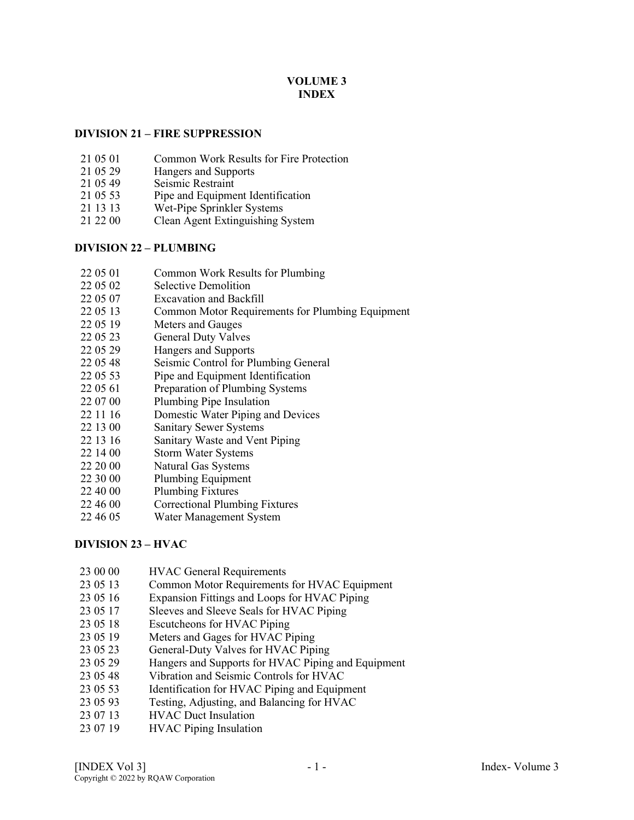## **VOLUME 3 INDEX**

#### **DIVISION 21 – FIRE SUPPRESSION**

- 21 05 01 Common Work Results for Fire Protection
- 21 05 29 Hangers and Supports
- 21 05 49<br>21 05 53 Seismic Restraint
- Pipe and Equipment Identification
- 21 13 13 Wet-Pipe Sprinkler Systems
- 21 22 00 Clean Agent Extinguishing System

#### **DIVISION 22 – PLUMBING**

- 22 05 01 Common Work Results for Plumbing
- 22 05 02 Selective Demolition
- 22 05 07 Excavation and Backfill
- 22 05 13 Common Motor Requirements for Plumbing Equipment
- 22 05 19 Meters and Gauges<br>22 05 23 General Duty Valve
- **General Duty Valves**
- 22 05 29 Hangers and Supports
- 22 05 48 Seismic Control for Plumbing General
- 22 05 53 Pipe and Equipment Identification
- 22 05 61 Preparation of Plumbing Systems
- 22 07 00 Plumbing Pipe Insulation
- 22 11 16 Domestic Water Piping and Devices<br>22 13 00 Sanitary Sewer Systems
- Sanitary Sewer Systems
- 22 13 16 Sanitary Waste and Vent Piping<br>22 14 00 Storm Water Systems
- Storm Water Systems
- 22 20 00 Natural Gas Systems
- 22 30 00 Plumbing Equipment
- 22 40 00 Plumbing Fixtures
- 22 46 00 Correctional Plumbing Fixtures
- 22 46 05 Water Management System

#### **DIVISION 23 – HVAC**

- 23 00 00 HVAC General Requirements
- 23 05 13 Common Motor Requirements for HVAC Equipment
- 23 05 16 Expansion Fittings and Loops for HVAC Piping
- 23 05 17 Sleeves and Sleeve Seals for HVAC Piping
- 23 05 18 Escutcheons for HVAC Piping
- 23 05 19 Meters and Gages for HVAC Piping
- 23 05 23 General-Duty Valves for HVAC Piping
- 23 05 29 Hangers and Supports for HVAC Piping and Equipment
- 23 05 48 Vibration and Seismic Controls for HVAC<br>23 05 53 Identification for HVAC Piping and Equipm
- Identification for HVAC Piping and Equipment
- 23 05 93 Testing, Adjusting, and Balancing for HVAC
- 23 07 13 HVAC Duct Insulation
- 23 07 19 HVAC Piping Insulation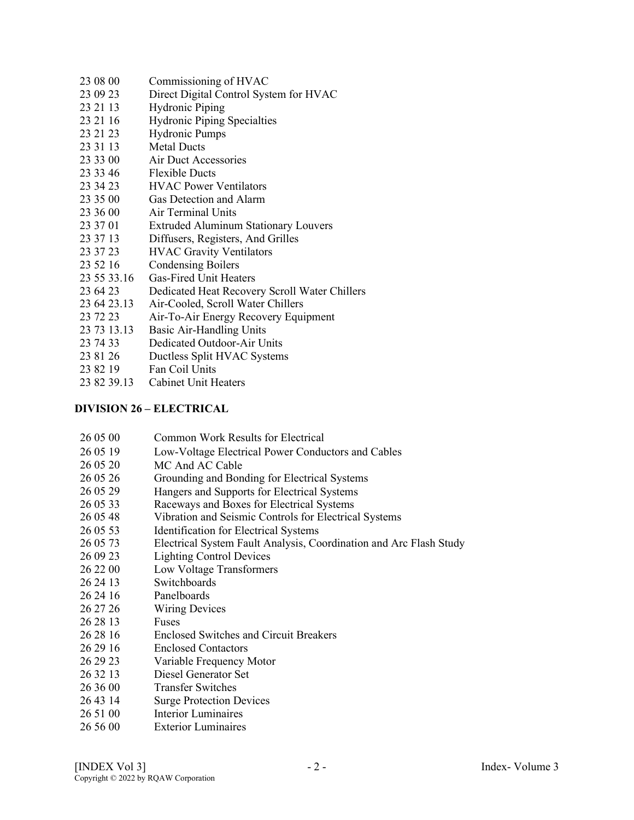- 23 08 00 Commissioning of HVAC<br>23 09 23 Direct Digital Control Syst
- Direct Digital Control System for HVAC
- 23 21 13 Hydronic Piping
- 23 21 16 Hydronic Piping Specialties
- 23 21 23 Hydronic Pumps
- 23 31 13 Metal Ducts
- 23 33 00 Air Duct Accessories
- 23 33 46 Flexible Ducts
- 23 34 23 HVAC Power Ventilators
- 23 35 00 Gas Detection and Alarm
- 23 36 00 Air Terminal Units
- 23 37 01 Extruded Aluminum Stationary Louvers
- 23 37 13 Diffusers, Registers, And Grilles
- 23 37 23 HVAC Gravity Ventilators
- 23 52 16 Condensing Boilers
- 23 55 33.16 Gas-Fired Unit Heaters
- 23 64 23 Dedicated Heat Recovery Scroll Water Chillers
- 23 64 23.13 Air-Cooled, Scroll Water Chillers
- 23 72 23 Air-To-Air Energy Recovery Equipment
- 23 73 13.13 Basic Air-Handling Units
- 23 74 33 Dedicated Outdoor-Air Units
- 23 81 26 Ductless Split HVAC Systems
- 23 82 19 Fan Coil Units<br>23 82 39.13 Cabinet Unit H
- **Cabinet Unit Heaters**

## **DIVISION 26 – ELECTRICAL**

- 26 05 00 Common Work Results for Electrical
- 26 05 19 Low-Voltage Electrical Power Conductors and Cables
- 26 05 20 MC And AC Cable<br>26 05 26 Grounding and Bon
- Grounding and Bonding for Electrical Systems
- 26 05 29 Hangers and Supports for Electrical Systems
- 26 05 33 Raceways and Boxes for Electrical Systems
- 26 05 48 Vibration and Seismic Controls for Electrical Systems
- 26 05 53 Identification for Electrical Systems
- 26 05 73 Electrical System Fault Analysis, Coordination and Arc Flash Study
- 26 09 23 Lighting Control Devices
- 26 22 00 Low Voltage Transformers
- 26 24 13 Switchboards
- 26 24 16 Panelboards
- 26 27 26 Wiring Devices
- 26 28 13 Fuses
- 26 28 16 Enclosed Switches and Circuit Breakers
- 26 29 16 Enclosed Contactors
- 26 29 23 Variable Frequency Motor
- 26 32 13 Diesel Generator Set
- 26 36 00 Transfer Switches
- 26 43 14 Surge Protection Devices
- 26 51 00 Interior Luminaires
- 26 56 00 Exterior Luminaires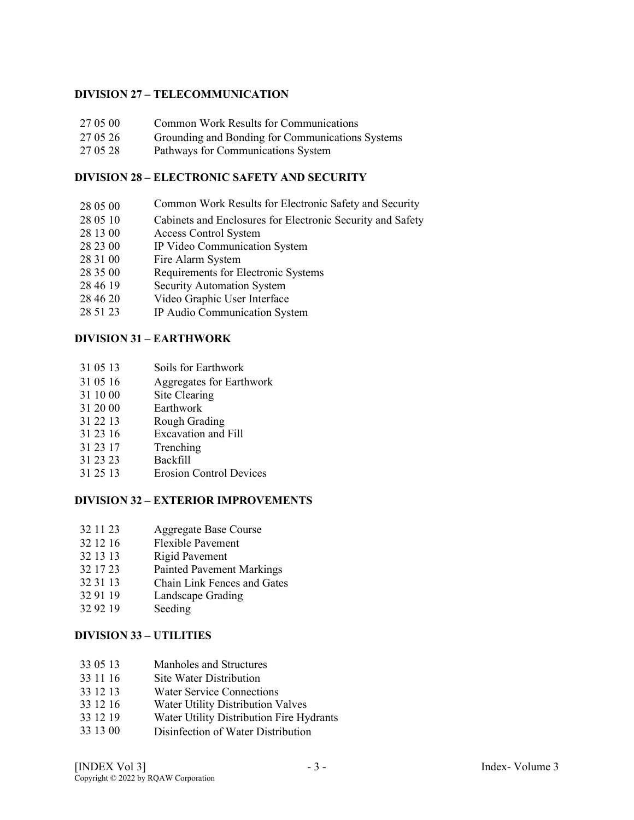# **DIVISION 27 – TELECOMMUNICATION**

- 27 05 00 Common Work Results for Communications
- 27 05 26 Grounding and Bonding for Communications Systems
- 27 05 28 Pathways for Communications System

# **DIVISION 28 – ELECTRONIC SAFETY AND SECURITY**

- 28 05 00 Common Work Results for Electronic Safety and Security
- 28 05 10 Cabinets and Enclosures for Electronic Security and Safety
- 28 13 00 Access Control System
- 28 23 00 IP Video Communication System
- 28 31 00 Fire Alarm System
- 28 35 00 Requirements for Electronic Systems
- 28 46 19 Security Automation System
- 28 46 20 Video Graphic User Interface
- 28 51 23 IP Audio Communication System

# **DIVISION 31 – EARTHWORK**

- 31 05 13 Soils for Earthwork
- 31 05 16 Aggregates for Earthwork
- 31 10 00 Site Clearing
- 31 20 00 Earthwork
- 31 22 13 Rough Grading
- 31 23 16 Excavation and Fill
- 31 23 17 Trenching
- 31 23 23 Backfill
- 31 25 13 Erosion Control Devices

# **DIVISION 32 – EXTERIOR IMPROVEMENTS**

- 32 11 23 Aggregate Base Course
- 32 12 16 Flexible Pavement
- 32 13 13 Rigid Pavement
- 32 17 23 Painted Pavement Markings
- 32 31 13 Chain Link Fences and Gates
- 32 91 19 Landscape Grading
- 32 92 19 Seeding

# **DIVISION 33 – UTILITIES**

- 33 05 13 Manholes and Structures
- 33 11 16 Site Water Distribution
- 33 12 13 Water Service Connections
- 33 12 16 Water Utility Distribution Valves
- 33 12 19 Water Utility Distribution Fire Hydrants
- 33 13 00 Disinfection of Water Distribution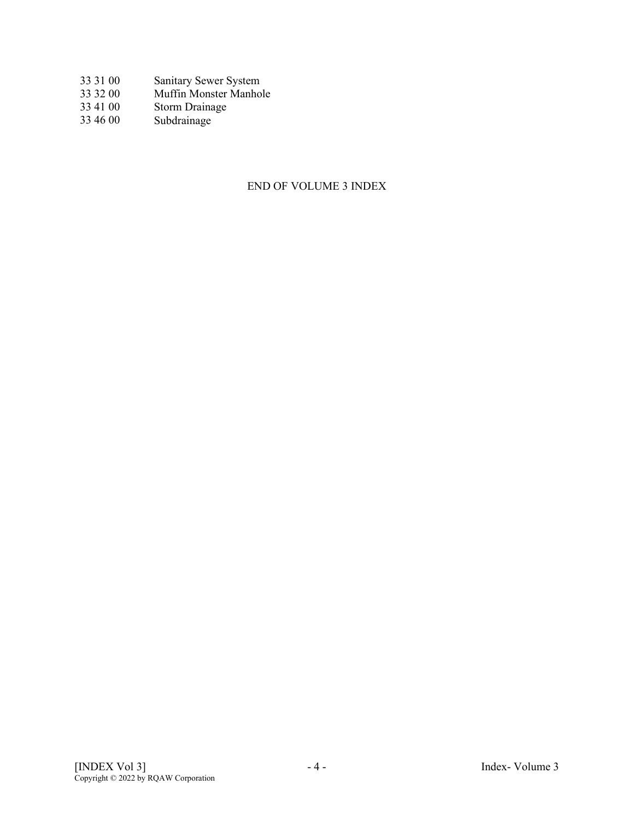- 33 31 00 Sanitary Sewer System
- 33 32 00 Muffin Monster Manhole
- 33 41 00 Storm Drainage<br>33 46 00 Subdrainage
- Subdrainage

# END OF VOLUME 3 INDEX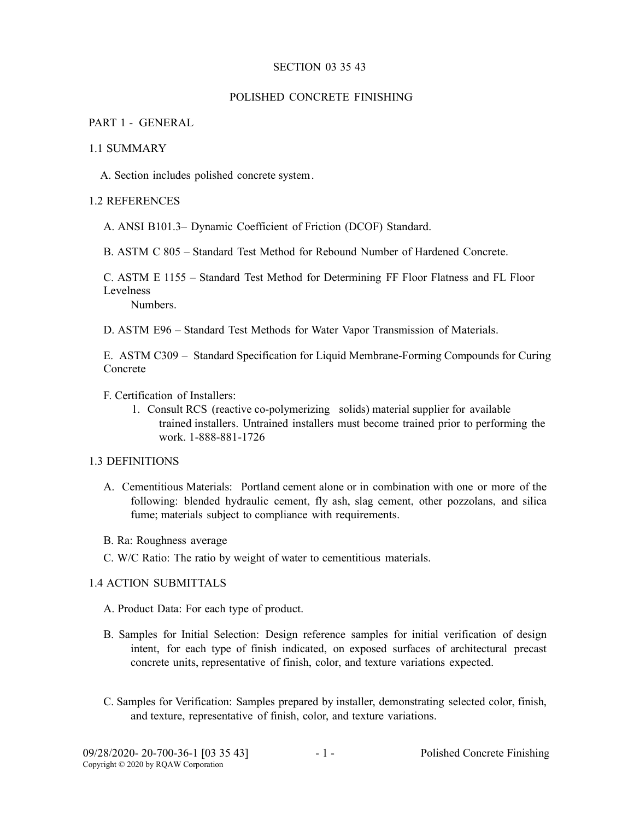#### SECTION 03 35 43

#### POLISHED CONCRETE FINISHING

## PART 1 - GENERAL

#### 1.1 SUMMARY

A. Section includes polished concrete system.

#### 1.2 REFERENCES

A. ANSI B101.3– Dynamic Coefficient of Friction (DCOF) Standard.

B. ASTM C 805 – Standard Test Method for Rebound Number of Hardened Concrete.

C. ASTM E 1155 – Standard Test Method for Determining FF Floor Flatness and FL Floor Levelness

Numbers.

D. ASTM E96 – Standard Test Methods for Water Vapor Transmission of Materials.

E. ASTM C309 – Standard Specification for Liquid Membrane-Forming Compounds for Curing Concrete

#### F. Certification of Installers:

1. Consult RCS (reactive co-polymerizing solids) material supplier for available trained installers. Untrained installers must become trained prior to performing the work. 1-888-881-1726

#### 1.3 DEFINITIONS

- A. Cementitious Materials: Portland cement alone or in combination with one or more of the following: blended hydraulic cement, fly ash, slag cement, other pozzolans, and silica fume; materials subject to compliance with requirements.
- B. Ra: Roughness average
- C. W/C Ratio: The ratio by weight of water to cementitious materials.

#### 1.4 ACTION SUBMITTALS

- A. Product Data: For each type of product.
- B. Samples for Initial Selection: Design reference samples for initial verification of design intent, for each type of finish indicated, on exposed surfaces of architectural precast concrete units, representative of finish, color, and texture variations expected.
- C. Samples for Verification: Samples prepared by installer, demonstrating selected color, finish, and texture, representative of finish, color, and texture variations.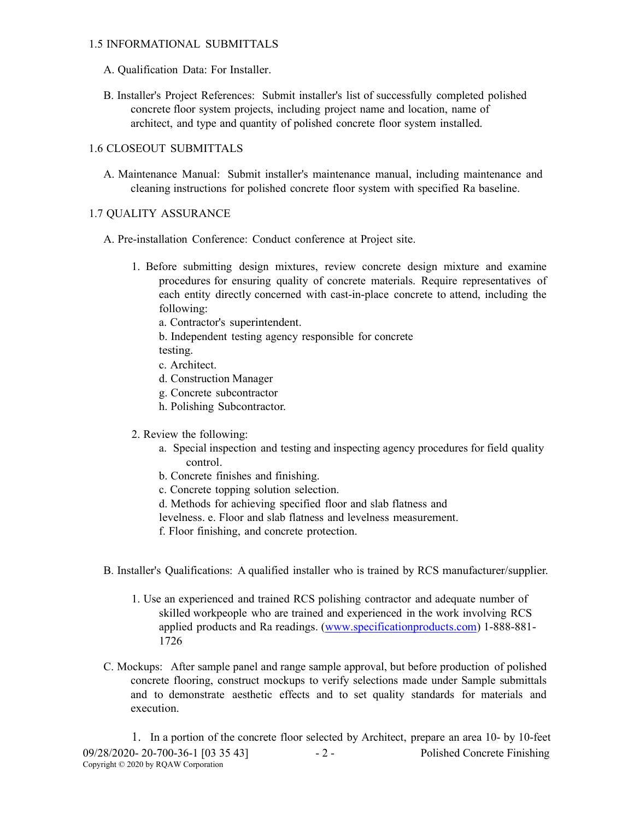#### 1.5 INFORMATIONAL SUBMITTALS

- A. Qualification Data: For Installer.
- B. Installer's Project References: Submit installer's list of successfully completed polished concrete floor system projects, including project name and location, name of architect, and type and quantity of polished concrete floor system installed.

## 1.6 CLOSEOUT SUBMITTALS

A. Maintenance Manual: Submit installer's maintenance manual, including maintenance and cleaning instructions for polished concrete floor system with specified Ra baseline.

## 1.7 QUALITY ASSURANCE

A. Pre-installation Conference: Conduct conference at Project site.

1. Before submitting design mixtures, review concrete design mixture and examine procedures for ensuring quality of concrete materials. Require representatives of each entity directly concerned with cast-in-place concrete to attend, including the following:

a. Contractor's superintendent.

b. Independent testing agency responsible for concrete

- testing.
- c. Architect.
- d. Construction Manager
- g. Concrete subcontractor
- h. Polishing Subcontractor.

#### 2. Review the following:

- a. Special inspection and testing and inspecting agency procedures for field quality control.
- b. Concrete finishes and finishing.
- c. Concrete topping solution selection.
- d. Methods for achieving specified floor and slab flatness and
- levelness. e. Floor and slab flatness and levelness measurement.

f. Floor finishing, and concrete protection.

- B. Installer's Qualifications: A qualified installer who is trained by RCS manufacturer/supplier.
	- 1. Use an experienced and trained RCS polishing contractor and adequate number of skilled workpeople who are trained and experienced in the work involving RCS applied products and Ra readings. (www.specificationproducts.com) 1-888-881- 1726
- C. Mockups: After sample panel and range sample approval, but before production of polished concrete flooring, construct mockups to verify selections made under Sample submittals and to demonstrate aesthetic effects and to set quality standards for materials and execution.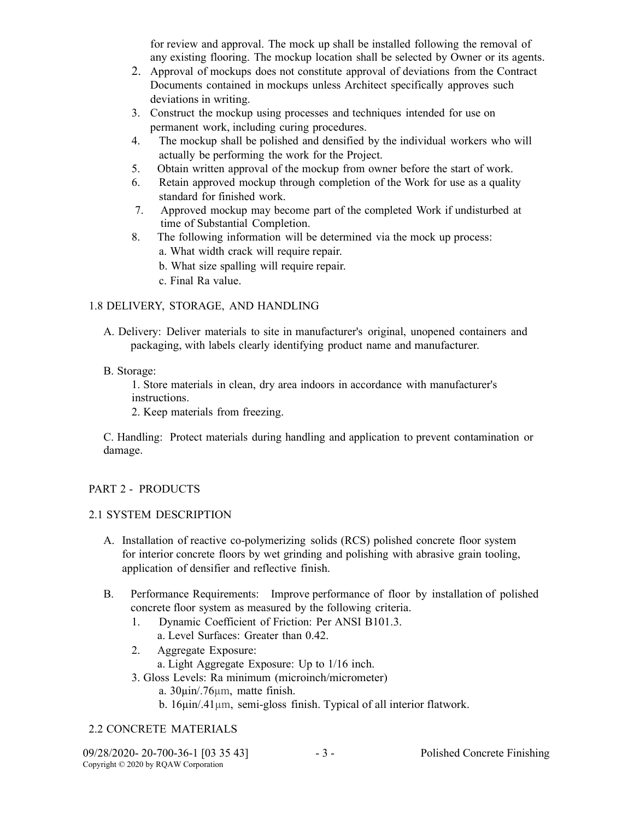for review and approval. The mock up shall be installed following the removal of any existing flooring. The mockup location shall be selected by Owner or its agents.

- 2. Approval of mockups does not constitute approval of deviations from the Contract Documents contained in mockups unless Architect specifically approves such deviations in writing.
- 3. Construct the mockup using processes and techniques intended for use on permanent work, including curing procedures.
- 4. The mockup shall be polished and densified by the individual workers who will actually be performing the work for the Project.
- 5. Obtain written approval of the mockup from owner before the start of work.
- 6. Retain approved mockup through completion of the Work for use as a quality standard for finished work.
- 7. Approved mockup may become part of the completed Work if undisturbed at time of Substantial Completion.
- 8. The following information will be determined via the mock up process: a. What width crack will require repair.
	- b. What size spalling will require repair.
	- c. Final Ra value.

# 1.8 DELIVERY, STORAGE, AND HANDLING

- A. Delivery: Deliver materials to site in manufacturer's original, unopened containers and packaging, with labels clearly identifying product name and manufacturer.
- B. Storage:

1. Store materials in clean, dry area indoors in accordance with manufacturer's instructions.

2. Keep materials from freezing.

C. Handling: Protect materials during handling and application to prevent contamination or damage.

# PART 2 - PRODUCTS

# 2.1 SYSTEM DESCRIPTION

- A. Installation of reactive co-polymerizing solids (RCS) polished concrete floor system for interior concrete floors by wet grinding and polishing with abrasive grain tooling, application of densifier and reflective finish.
- B. Performance Requirements: Improve performance of floor by installation of polished concrete floor system as measured by the following criteria.
	- 1. Dynamic Coefficient of Friction: Per ANSI B101.3. a. Level Surfaces: Greater than 0.42.
	- 2. Aggregate Exposure:
	- a. Light Aggregate Exposure: Up to 1/16 inch.
	- 3. Gloss Levels: Ra minimum (microinch/micrometer) a. 30µin/.76µm, matte finish.
		-
		- b. 16µin/.41µm, semi-gloss finish. Typical of all interior flatwork.

# 2.2 CONCRETE MATERIALS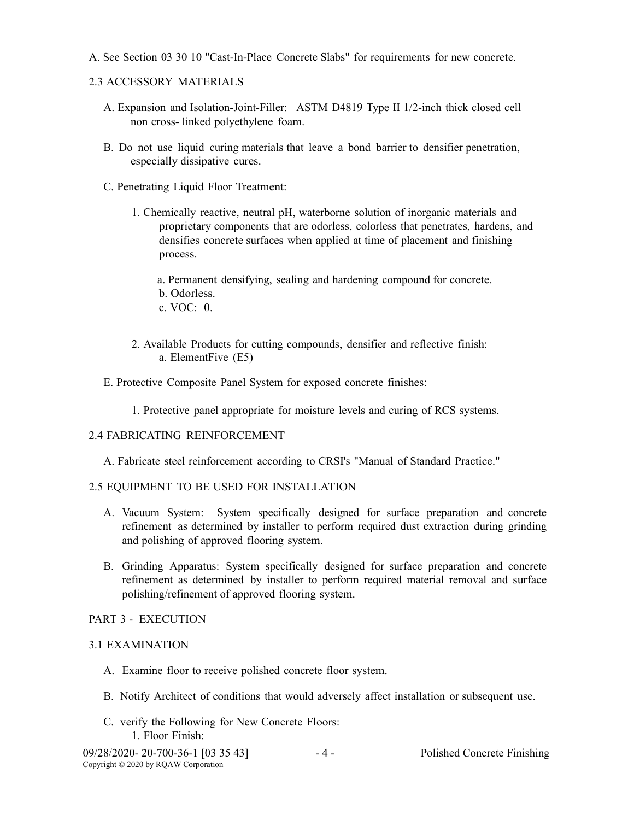A. See Section 03 30 10 "Cast-In-Place Concrete Slabs" for requirements for new concrete.

# 2.3 ACCESSORY MATERIALS

- A. Expansion and Isolation-Joint-Filler: ASTM D4819 Type II 1/2-inch thick closed cell non cross- linked polyethylene foam.
- B. Do not use liquid curing materials that leave a bond barrier to densifier penetration, especially dissipative cures.
- C. Penetrating Liquid Floor Treatment:
	- 1. Chemically reactive, neutral pH, waterborne solution of inorganic materials and proprietary components that are odorless, colorless that penetrates, hardens, and densifies concrete surfaces when applied at time of placement and finishing process.
		- a. Permanent densifying, sealing and hardening compound for concrete.
		- b. Odorless.
		- c. VOC: 0.
	- 2. Available Products for cutting compounds, densifier and reflective finish: a. ElementFive (E5)
- E. Protective Composite Panel System for exposed concrete finishes:
	- 1. Protective panel appropriate for moisture levels and curing of RCS systems.

# 2.4 FABRICATING REINFORCEMENT

A. Fabricate steel reinforcement according to CRSI's "Manual of Standard Practice."

# 2.5 EQUIPMENT TO BE USED FOR INSTALLATION

- A. Vacuum System: System specifically designed for surface preparation and concrete refinement as determined by installer to perform required dust extraction during grinding and polishing of approved flooring system.
- B. Grinding Apparatus: System specifically designed for surface preparation and concrete refinement as determined by installer to perform required material removal and surface polishing/refinement of approved flooring system.

#### PART 3 - EXECUTION

#### 3.1 EXAMINATION

- A. Examine floor to receive polished concrete floor system.
- B. Notify Architect of conditions that would adversely affect installation or subsequent use.
- C. verify the Following for New Concrete Floors: 1. Floor Finish: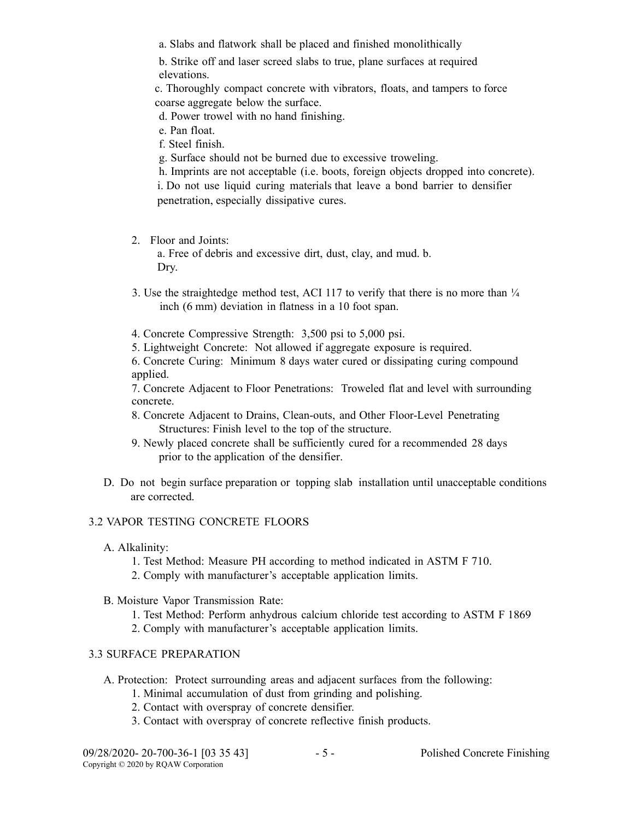- a. Slabs and flatwork shall be placed and finished monolithically
- b. Strike off and laser screed slabs to true, plane surfaces at required elevations.

c. Thoroughly compact concrete with vibrators, floats, and tampers to force coarse aggregate below the surface.

- d. Power trowel with no hand finishing.
- e. Pan float.
- f. Steel finish.
- g. Surface should not be burned due to excessive troweling.
- h. Imprints are not acceptable (i.e. boots, foreign objects dropped into concrete). i. Do not use liquid curing materials that leave a bond barrier to densifier penetration, especially dissipative cures.
- 2. Floor and Joints:

a. Free of debris and excessive dirt, dust, clay, and mud. b. Dry.

- 3. Use the straightedge method test, ACI 117 to verify that there is no more than  $\frac{1}{4}$ inch (6 mm) deviation in flatness in a 10 foot span.
- 4. Concrete Compressive Strength: 3,500 psi to 5,000 psi.
- 5. Lightweight Concrete: Not allowed if aggregate exposure is required.

6. Concrete Curing: Minimum 8 days water cured or dissipating curing compound applied.

7. Concrete Adjacent to Floor Penetrations: Troweled flat and level with surrounding concrete.

- 8. Concrete Adjacent to Drains, Clean-outs, and Other Floor-Level Penetrating Structures: Finish level to the top of the structure.
- 9. Newly placed concrete shall be sufficiently cured for a recommended 28 days prior to the application of the densifier.
- D. Do not begin surface preparation or topping slab installation until unacceptable conditions are corrected.

#### 3.2 VAPOR TESTING CONCRETE FLOORS

- A. Alkalinity:
	- 1. Test Method: Measure PH according to method indicated in ASTM F 710.
	- 2. Comply with manufacturer's acceptable application limits.
- B. Moisture Vapor Transmission Rate:
	- 1. Test Method: Perform anhydrous calcium chloride test according to ASTM F 1869
	- 2. Comply with manufacturer's acceptable application limits.

#### 3.3 SURFACE PREPARATION

- A. Protection: Protect surrounding areas and adjacent surfaces from the following:
	- 1. Minimal accumulation of dust from grinding and polishing.
	- 2. Contact with overspray of concrete densifier.
	- 3. Contact with overspray of concrete reflective finish products.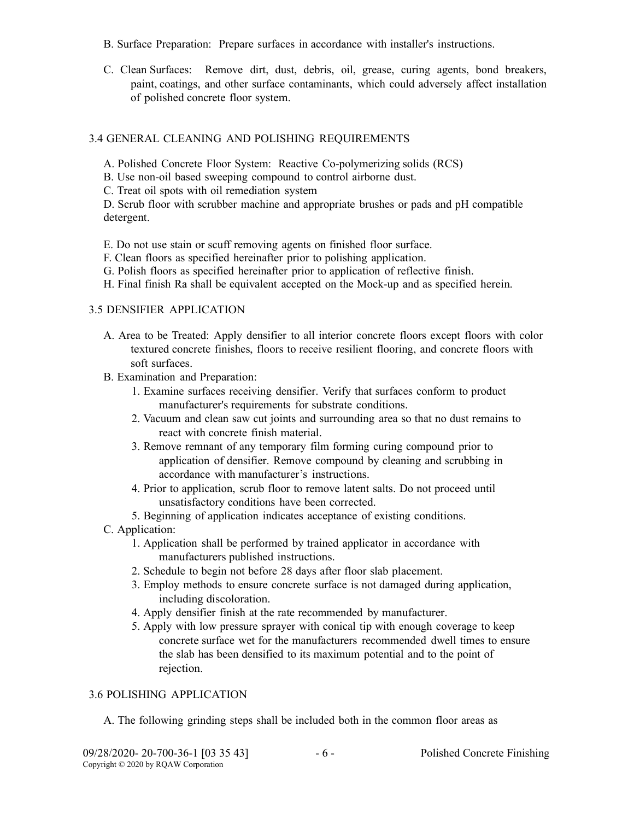B. Surface Preparation: Prepare surfaces in accordance with installer's instructions.

C. Clean Surfaces: Remove dirt, dust, debris, oil, grease, curing agents, bond breakers, paint, coatings, and other surface contaminants, which could adversely affect installation of polished concrete floor system.

# 3.4 GENERAL CLEANING AND POLISHING REQUIREMENTS

- A. Polished Concrete Floor System: Reactive Co-polymerizing solids (RCS)
- B. Use non-oil based sweeping compound to control airborne dust.
- C. Treat oil spots with oil remediation system

D. Scrub floor with scrubber machine and appropriate brushes or pads and pH compatible detergent.

- E. Do not use stain or scuff removing agents on finished floor surface.
- F. Clean floors as specified hereinafter prior to polishing application.
- G. Polish floors as specified hereinafter prior to application of reflective finish.
- H. Final finish Ra shall be equivalent accepted on the Mock-up and as specified herein.

## 3.5 DENSIFIER APPLICATION

- A. Area to be Treated: Apply densifier to all interior concrete floors except floors with color textured concrete finishes, floors to receive resilient flooring, and concrete floors with soft surfaces.
- B. Examination and Preparation:
	- 1. Examine surfaces receiving densifier. Verify that surfaces conform to product manufacturer's requirements for substrate conditions.
	- 2. Vacuum and clean saw cut joints and surrounding area so that no dust remains to react with concrete finish material.
	- 3. Remove remnant of any temporary film forming curing compound prior to application of densifier. Remove compound by cleaning and scrubbing in accordance with manufacturer's instructions.
	- 4. Prior to application, scrub floor to remove latent salts. Do not proceed until unsatisfactory conditions have been corrected.
	- 5. Beginning of application indicates acceptance of existing conditions.
- C. Application:
	- 1. Application shall be performed by trained applicator in accordance with manufacturers published instructions.
	- 2. Schedule to begin not before 28 days after floor slab placement.
	- 3. Employ methods to ensure concrete surface is not damaged during application, including discoloration.
	- 4. Apply densifier finish at the rate recommended by manufacturer.
	- 5. Apply with low pressure sprayer with conical tip with enough coverage to keep concrete surface wet for the manufacturers recommended dwell times to ensure the slab has been densified to its maximum potential and to the point of rejection.

# 3.6 POLISHING APPLICATION

A. The following grinding steps shall be included both in the common floor areas as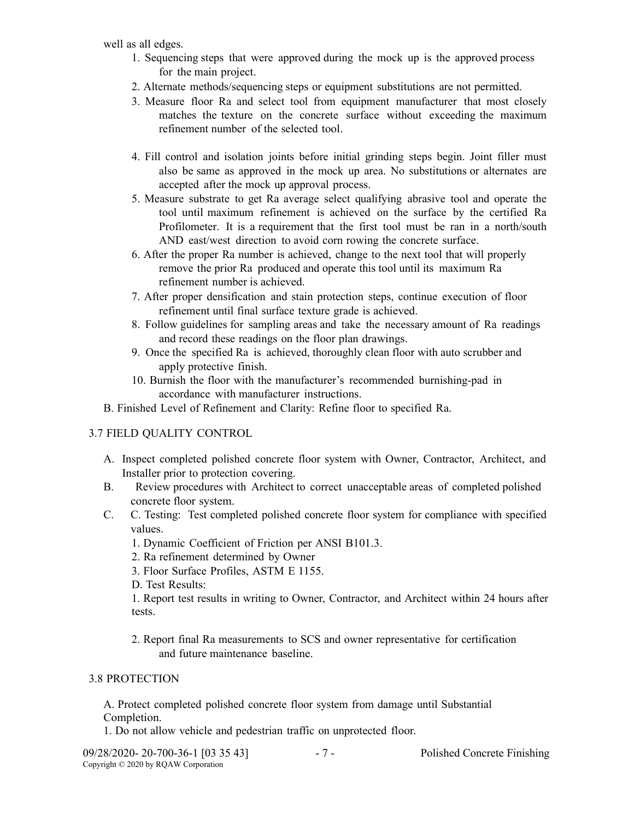well as all edges.

- 1. Sequencing steps that were approved during the mock up is the approved process for the main project.
- 2. Alternate methods/sequencing steps or equipment substitutions are not permitted.
- 3. Measure floor Ra and select tool from equipment manufacturer that most closely matches the texture on the concrete surface without exceeding the maximum refinement number of the selected tool.
- 4. Fill control and isolation joints before initial grinding steps begin. Joint filler must also be same as approved in the mock up area. No substitutions or alternates are accepted after the mock up approval process.
- 5. Measure substrate to get Ra average select qualifying abrasive tool and operate the tool until maximum refinement is achieved on the surface by the certified Ra Profilometer. It is a requirement that the first tool must be ran in a north/south AND east/west direction to avoid corn rowing the concrete surface.
- 6. After the proper Ra number is achieved, change to the next tool that will properly remove the prior Ra produced and operate this tool until its maximum Ra refinement number is achieved.
- 7. After proper densification and stain protection steps, continue execution of floor refinement until final surface texture grade is achieved.
- 8. Follow guidelines for sampling areas and take the necessary amount of Ra readings and record these readings on the floor plan drawings.
- 9. Once the specified Ra is achieved, thoroughly clean floor with auto scrubber and apply protective finish.
- 10. Burnish the floor with the manufacturer's recommended burnishing-pad in accordance with manufacturer instructions.
- B. Finished Level of Refinement and Clarity: Refine floor to specified Ra.

# 3.7 FIELD QUALITY CONTROL

- A. Inspect completed polished concrete floor system with Owner, Contractor, Architect, and Installer prior to protection covering.
- B. Review procedures with Architect to correct unacceptable areas of completed polished concrete floor system.
- C. C. Testing: Test completed polished concrete floor system for compliance with specified values.
	- 1. Dynamic Coefficient of Friction per ANSI B101.3.
	- 2. Ra refinement determined by Owner
	- 3. Floor Surface Profiles, ASTM E 1155.
	- D. Test Results:

1. Report test results in writing to Owner, Contractor, and Architect within 24 hours after tests.

2. Report final Ra measurements to SCS and owner representative for certification and future maintenance baseline.

#### 3.8 PROTECTION

A. Protect completed polished concrete floor system from damage until Substantial Completion.

1. Do not allow vehicle and pedestrian traffic on unprotected floor.